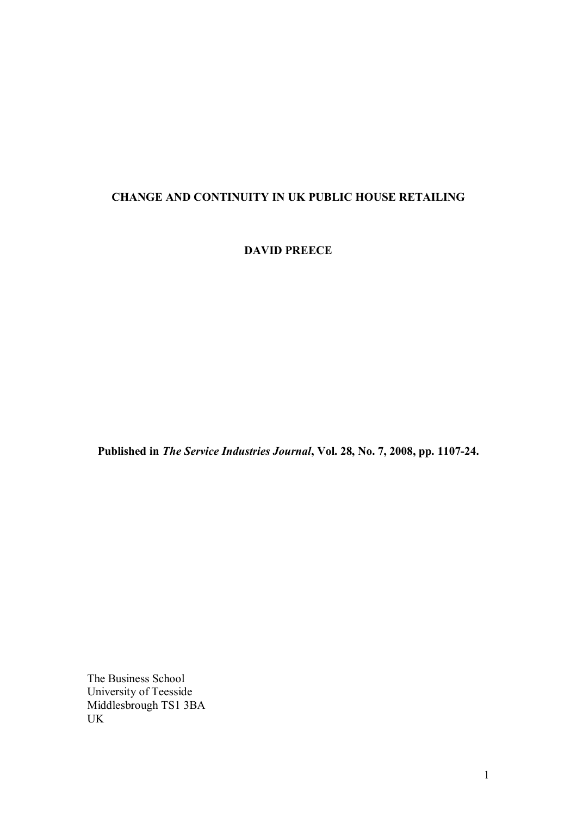## **CHANGE AND CONTINUITY IN UK PUBLIC HOUSE RETAILING**

**DAVID PREECE** 

**Published in** *The Service Industries Journal***, Vol. 28, No. 7, 2008, pp. 1107-24.** 

The Business School University of Teesside Middlesbrough TS1 3BA UK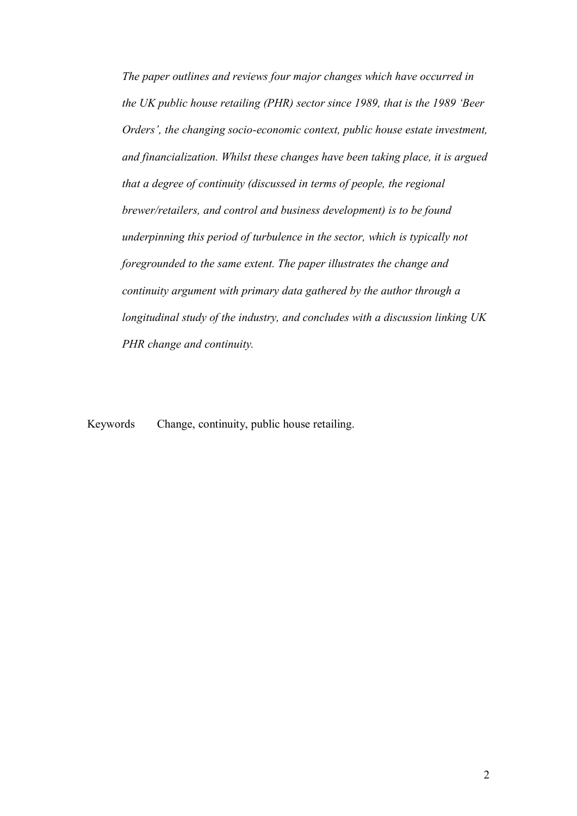*The paper outlines and reviews four major changes which have occurred in the UK public house retailing (PHR) sector since 1989, that is the 1989 'Beer Orders', the changing socio-economic context, public house estate investment, and financialization. Whilst these changes have been taking place, it is argued that a degree of continuity (discussed in terms of people, the regional brewer/retailers, and control and business development) is to be found underpinning this period of turbulence in the sector, which is typically not foregrounded to the same extent. The paper illustrates the change and continuity argument with primary data gathered by the author through a longitudinal study of the industry, and concludes with a discussion linking UK PHR change and continuity.* 

Keywords Change, continuity, public house retailing.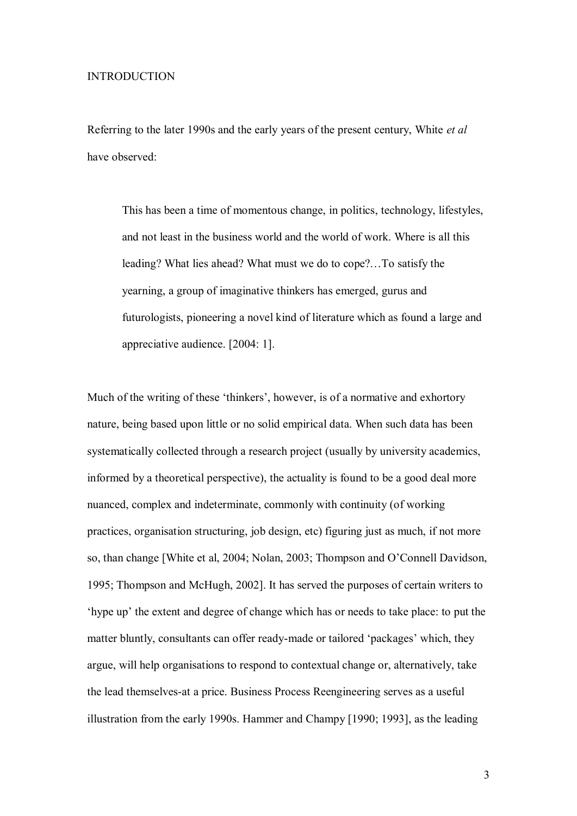#### INTRODUCTION

Referring to the later 1990s and the early years of the present century, White *et al* have observed:

This has been a time of momentous change, in politics, technology, lifestyles, and not least in the business world and the world of work. Where is all this leading? What lies ahead? What must we do to cope?…To satisfy the yearning, a group of imaginative thinkers has emerged, gurus and futurologists, pioneering a novel kind of literature which as found a large and appreciative audience. [2004: 1].

Much of the writing of these 'thinkers', however, is of a normative and exhortory nature, being based upon little or no solid empirical data. When such data has been systematically collected through a research project (usually by university academics, informed by a theoretical perspective), the actuality is found to be a good deal more nuanced, complex and indeterminate, commonly with continuity (of working practices, organisation structuring, job design, etc) figuring just as much, if not more so, than change [White et al, 2004; Nolan, 2003; Thompson and O"Connell Davidson, 1995; Thompson and McHugh, 2002]. It has served the purposes of certain writers to "hype up" the extent and degree of change which has or needs to take place: to put the matter bluntly, consultants can offer ready-made or tailored 'packages' which, they argue, will help organisations to respond to contextual change or, alternatively, take the lead themselves-at a price. Business Process Reengineering serves as a useful illustration from the early 1990s. Hammer and Champy [1990; 1993], as the leading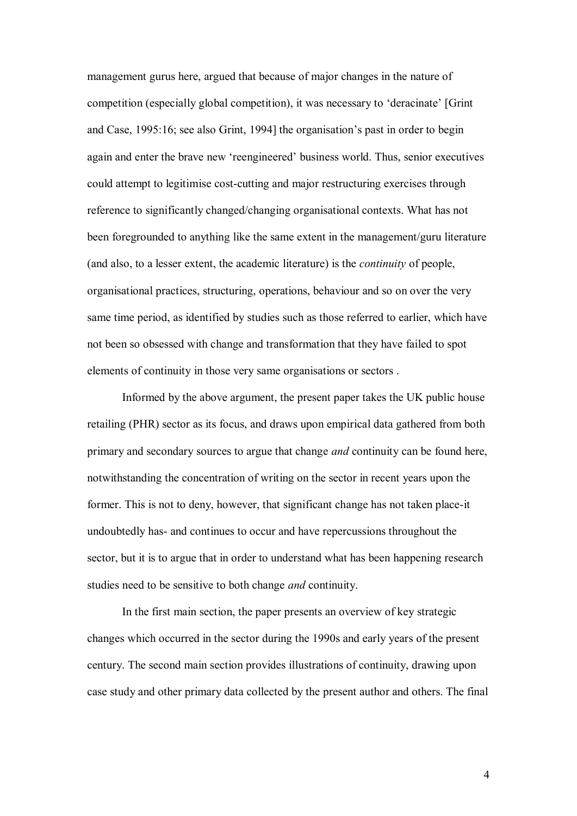management gurus here, argued that because of major changes in the nature of competition (especially global competition), it was necessary to "deracinate" [Grint and Case, 1995:16; see also Grint, 1994] the organisation's past in order to begin again and enter the brave new "reengineered" business world. Thus, senior executives could attempt to legitimise cost-cutting and major restructuring exercises through reference to significantly changed/changing organisational contexts. What has not been foregrounded to anything like the same extent in the management/guru literature (and also, to a lesser extent, the academic literature) is the *continuity* of people, organisational practices, structuring, operations, behaviour and so on over the very same time period, as identified by studies such as those referred to earlier, which have not been so obsessed with change and transformation that they have failed to spot elements of continuity in those very same organisations or sectors .

Informed by the above argument, the present paper takes the UK public house retailing (PHR) sector as its focus, and draws upon empirical data gathered from both primary and secondary sources to argue that change *and* continuity can be found here, notwithstanding the concentration of writing on the sector in recent years upon the former. This is not to deny, however, that significant change has not taken place-it undoubtedly has- and continues to occur and have repercussions throughout the sector, but it is to argue that in order to understand what has been happening research studies need to be sensitive to both change *and* continuity.

In the first main section, the paper presents an overview of key strategic changes which occurred in the sector during the 1990s and early years of the present century. The second main section provides illustrations of continuity, drawing upon case study and other primary data collected by the present author and others. The final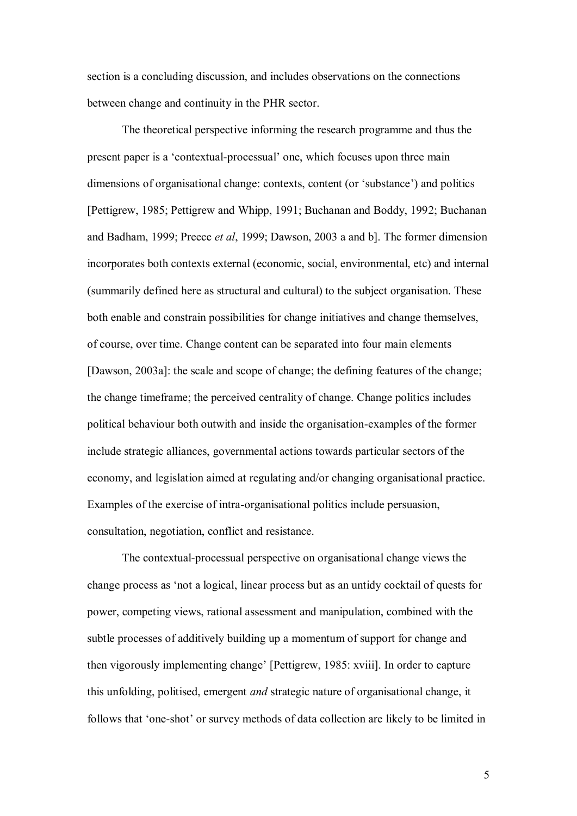section is a concluding discussion, and includes observations on the connections between change and continuity in the PHR sector.

The theoretical perspective informing the research programme and thus the present paper is a "contextual-processual" one, which focuses upon three main dimensions of organisational change: contexts, content (or 'substance') and politics [Pettigrew, 1985; Pettigrew and Whipp, 1991; Buchanan and Boddy, 1992; Buchanan and Badham, 1999; Preece *et al*, 1999; Dawson, 2003 a and b]. The former dimension incorporates both contexts external (economic, social, environmental, etc) and internal (summarily defined here as structural and cultural) to the subject organisation. These both enable and constrain possibilities for change initiatives and change themselves, of course, over time. Change content can be separated into four main elements [Dawson, 2003a]: the scale and scope of change; the defining features of the change; the change timeframe; the perceived centrality of change. Change politics includes political behaviour both outwith and inside the organisation-examples of the former include strategic alliances, governmental actions towards particular sectors of the economy, and legislation aimed at regulating and/or changing organisational practice. Examples of the exercise of intra-organisational politics include persuasion, consultation, negotiation, conflict and resistance.

The contextual-processual perspective on organisational change views the change process as "not a logical, linear process but as an untidy cocktail of quests for power, competing views, rational assessment and manipulation, combined with the subtle processes of additively building up a momentum of support for change and then vigorously implementing change" [Pettigrew, 1985: xviii]. In order to capture this unfolding, politised, emergent *and* strategic nature of organisational change, it follows that "one-shot" or survey methods of data collection are likely to be limited in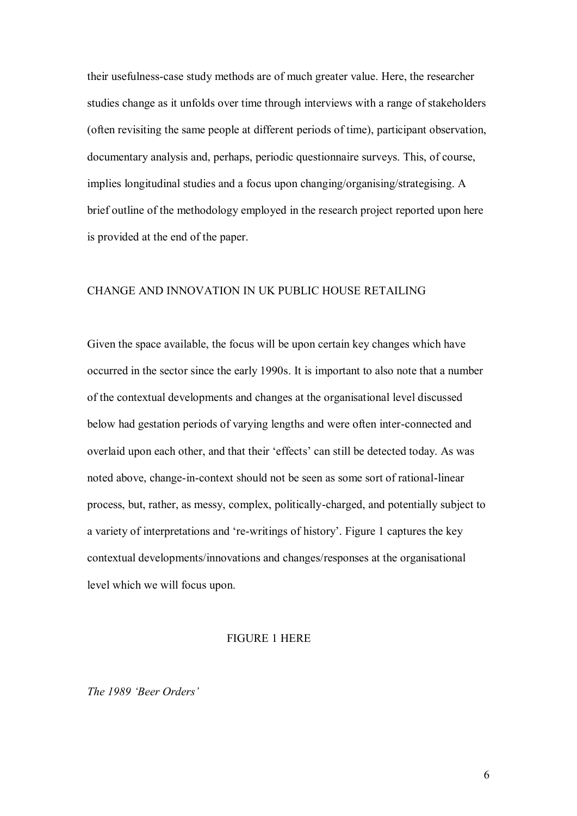their usefulness-case study methods are of much greater value. Here, the researcher studies change as it unfolds over time through interviews with a range of stakeholders (often revisiting the same people at different periods of time), participant observation, documentary analysis and, perhaps, periodic questionnaire surveys. This, of course, implies longitudinal studies and a focus upon changing/organising/strategising. A brief outline of the methodology employed in the research project reported upon here is provided at the end of the paper.

#### CHANGE AND INNOVATION IN UK PUBLIC HOUSE RETAILING

Given the space available, the focus will be upon certain key changes which have occurred in the sector since the early 1990s. It is important to also note that a number of the contextual developments and changes at the organisational level discussed below had gestation periods of varying lengths and were often inter-connected and overlaid upon each other, and that their 'effects' can still be detected today. As was noted above, change-in-context should not be seen as some sort of rational-linear process, but, rather, as messy, complex, politically-charged, and potentially subject to a variety of interpretations and "re-writings of history". Figure 1 captures the key contextual developments/innovations and changes/responses at the organisational level which we will focus upon.

#### FIGURE 1 HERE

*The 1989 'Beer Orders'*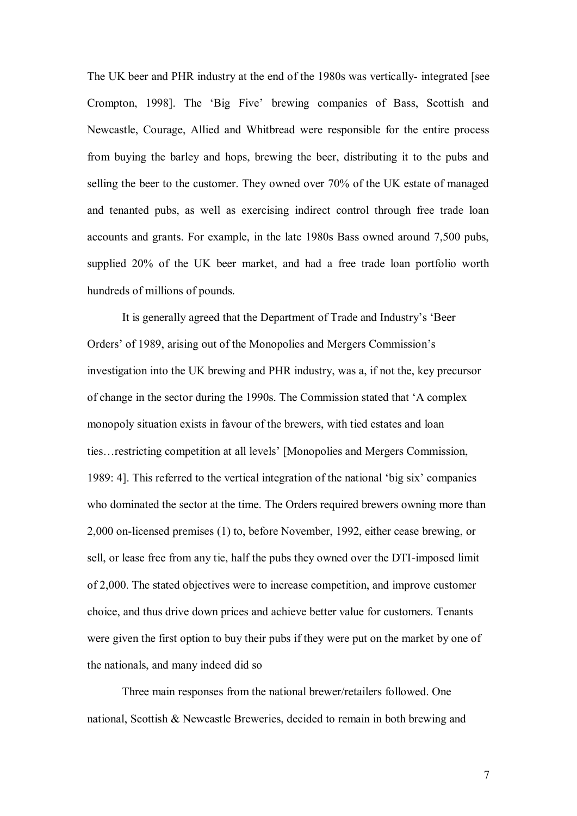The UK beer and PHR industry at the end of the 1980s was vertically- integrated [see Crompton, 1998]. The "Big Five" brewing companies of Bass, Scottish and Newcastle, Courage, Allied and Whitbread were responsible for the entire process from buying the barley and hops, brewing the beer, distributing it to the pubs and selling the beer to the customer. They owned over 70% of the UK estate of managed and tenanted pubs, as well as exercising indirect control through free trade loan accounts and grants. For example, in the late 1980s Bass owned around 7,500 pubs, supplied 20% of the UK beer market, and had a free trade loan portfolio worth hundreds of millions of pounds.

It is generally agreed that the Department of Trade and Industry"s "Beer Orders" of 1989, arising out of the Monopolies and Mergers Commission"s investigation into the UK brewing and PHR industry, was a, if not the, key precursor of change in the sector during the 1990s. The Commission stated that "A complex monopoly situation exists in favour of the brewers, with tied estates and loan ties…restricting competition at all levels" [Monopolies and Mergers Commission, 1989: 4]. This referred to the vertical integration of the national "big six" companies who dominated the sector at the time. The Orders required brewers owning more than 2,000 on-licensed premises (1) to, before November, 1992, either cease brewing, or sell, or lease free from any tie, half the pubs they owned over the DTI-imposed limit of 2,000. The stated objectives were to increase competition, and improve customer choice, and thus drive down prices and achieve better value for customers. Tenants were given the first option to buy their pubs if they were put on the market by one of the nationals, and many indeed did so

Three main responses from the national brewer/retailers followed. One national, Scottish & Newcastle Breweries, decided to remain in both brewing and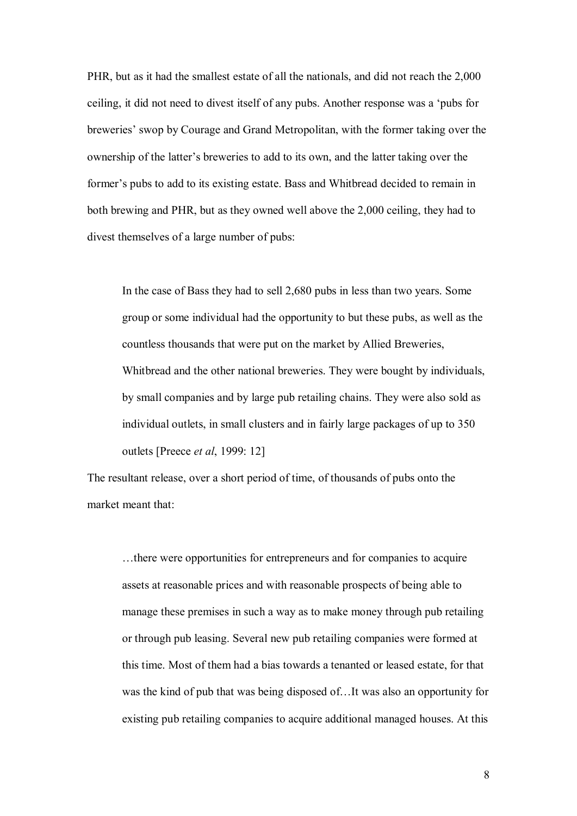PHR, but as it had the smallest estate of all the nationals, and did not reach the 2,000 ceiling, it did not need to divest itself of any pubs. Another response was a "pubs for breweries' swop by Courage and Grand Metropolitan, with the former taking over the ownership of the latter"s breweries to add to its own, and the latter taking over the former"s pubs to add to its existing estate. Bass and Whitbread decided to remain in both brewing and PHR, but as they owned well above the 2,000 ceiling, they had to divest themselves of a large number of pubs:

In the case of Bass they had to sell 2,680 pubs in less than two years. Some group or some individual had the opportunity to but these pubs, as well as the countless thousands that were put on the market by Allied Breweries, Whitbread and the other national breweries. They were bought by individuals, by small companies and by large pub retailing chains. They were also sold as individual outlets, in small clusters and in fairly large packages of up to 350 outlets [Preece *et al*, 1999: 12]

The resultant release, over a short period of time, of thousands of pubs onto the market meant that:

…there were opportunities for entrepreneurs and for companies to acquire assets at reasonable prices and with reasonable prospects of being able to manage these premises in such a way as to make money through pub retailing or through pub leasing. Several new pub retailing companies were formed at this time. Most of them had a bias towards a tenanted or leased estate, for that was the kind of pub that was being disposed of…It was also an opportunity for existing pub retailing companies to acquire additional managed houses. At this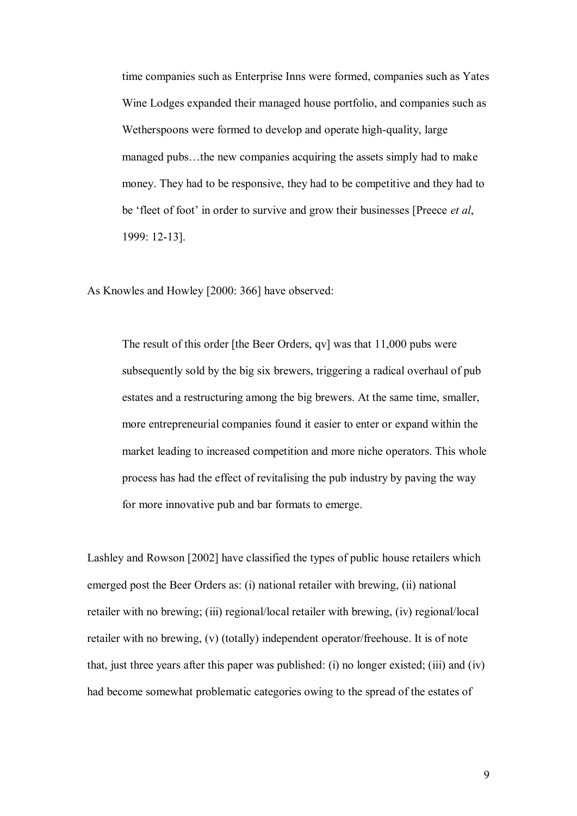time companies such as Enterprise Inns were formed, companies such as Yates Wine Lodges expanded their managed house portfolio, and companies such as Wetherspoons were formed to develop and operate high-quality, large managed pubs…the new companies acquiring the assets simply had to make money. They had to be responsive, they had to be competitive and they had to be "fleet of foot" in order to survive and grow their businesses [Preece *et al*, 1999: 12-13].

As Knowles and Howley [2000: 366] have observed:

The result of this order [the Beer Orders, qv] was that 11,000 pubs were subsequently sold by the big six brewers, triggering a radical overhaul of pub estates and a restructuring among the big brewers. At the same time, smaller, more entrepreneurial companies found it easier to enter or expand within the market leading to increased competition and more niche operators. This whole process has had the effect of revitalising the pub industry by paving the way for more innovative pub and bar formats to emerge.

Lashley and Rowson [2002] have classified the types of public house retailers which emerged post the Beer Orders as: (i) national retailer with brewing, (ii) national retailer with no brewing; (iii) regional/local retailer with brewing, (iv) regional/local retailer with no brewing, (v) (totally) independent operator/freehouse. It is of note that, just three years after this paper was published: (i) no longer existed; (iii) and (iv) had become somewhat problematic categories owing to the spread of the estates of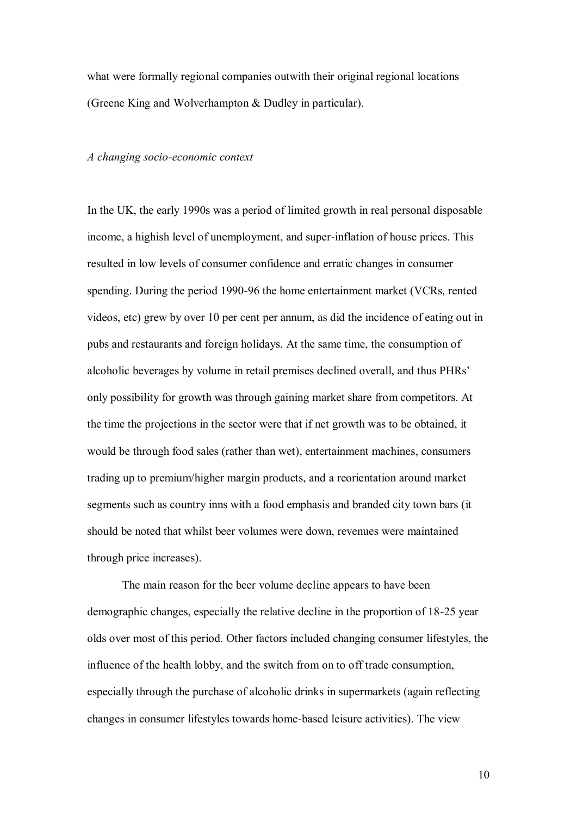what were formally regional companies outwith their original regional locations (Greene King and Wolverhampton & Dudley in particular).

#### *A changing socio-economic context*

In the UK, the early 1990s was a period of limited growth in real personal disposable income, a highish level of unemployment, and super-inflation of house prices. This resulted in low levels of consumer confidence and erratic changes in consumer spending. During the period 1990-96 the home entertainment market (VCRs, rented videos, etc) grew by over 10 per cent per annum, as did the incidence of eating out in pubs and restaurants and foreign holidays. At the same time, the consumption of alcoholic beverages by volume in retail premises declined overall, and thus PHRs" only possibility for growth was through gaining market share from competitors. At the time the projections in the sector were that if net growth was to be obtained, it would be through food sales (rather than wet), entertainment machines, consumers trading up to premium/higher margin products, and a reorientation around market segments such as country inns with a food emphasis and branded city town bars (it should be noted that whilst beer volumes were down, revenues were maintained through price increases).

The main reason for the beer volume decline appears to have been demographic changes, especially the relative decline in the proportion of 18-25 year olds over most of this period. Other factors included changing consumer lifestyles, the influence of the health lobby, and the switch from on to off trade consumption, especially through the purchase of alcoholic drinks in supermarkets (again reflecting changes in consumer lifestyles towards home-based leisure activities). The view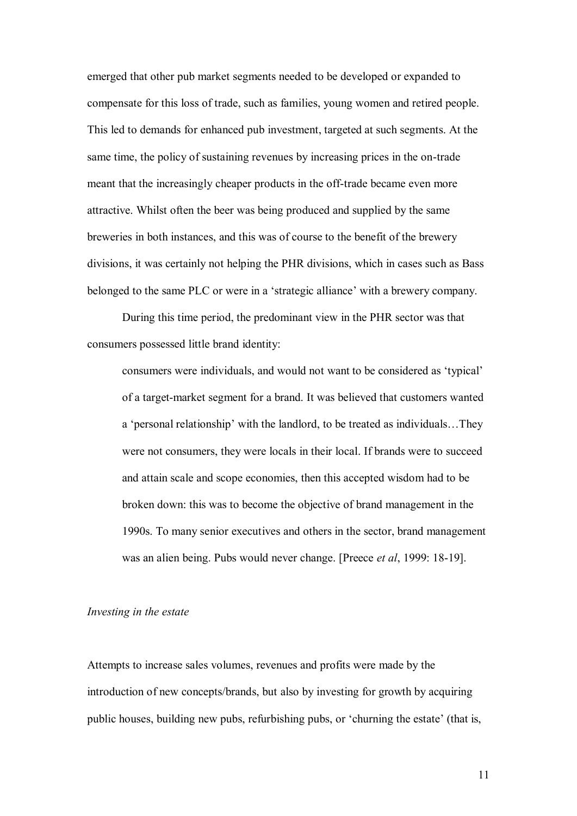emerged that other pub market segments needed to be developed or expanded to compensate for this loss of trade, such as families, young women and retired people. This led to demands for enhanced pub investment, targeted at such segments. At the same time, the policy of sustaining revenues by increasing prices in the on-trade meant that the increasingly cheaper products in the off-trade became even more attractive. Whilst often the beer was being produced and supplied by the same breweries in both instances, and this was of course to the benefit of the brewery divisions, it was certainly not helping the PHR divisions, which in cases such as Bass belonged to the same PLC or were in a "strategic alliance" with a brewery company.

 During this time period, the predominant view in the PHR sector was that consumers possessed little brand identity:

consumers were individuals, and would not want to be considered as "typical" of a target-market segment for a brand. It was believed that customers wanted a "personal relationship" with the landlord, to be treated as individuals…They were not consumers, they were locals in their local. If brands were to succeed and attain scale and scope economies, then this accepted wisdom had to be broken down: this was to become the objective of brand management in the 1990s. To many senior executives and others in the sector, brand management was an alien being. Pubs would never change. [Preece *et al*, 1999: 18-19].

#### *Investing in the estate*

Attempts to increase sales volumes, revenues and profits were made by the introduction of new concepts/brands, but also by investing for growth by acquiring public houses, building new pubs, refurbishing pubs, or "churning the estate" (that is,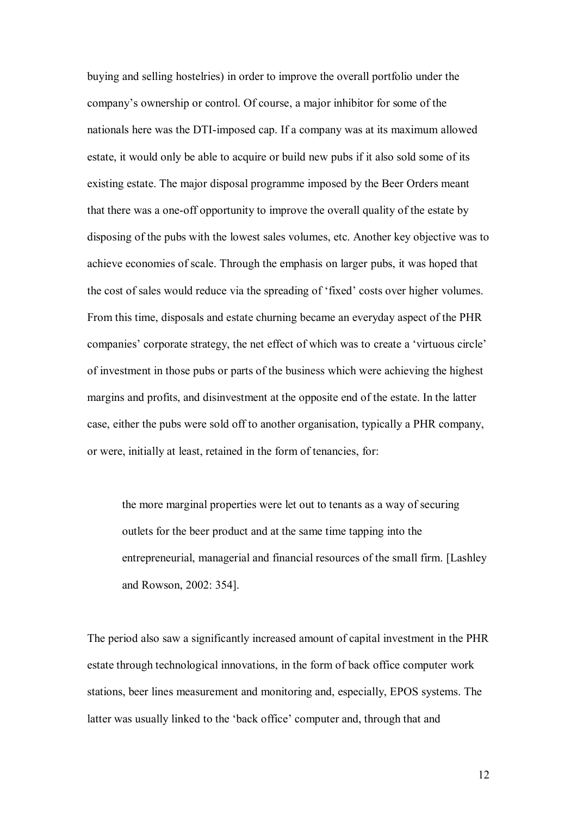buying and selling hostelries) in order to improve the overall portfolio under the company"s ownership or control. Of course, a major inhibitor for some of the nationals here was the DTI-imposed cap. If a company was at its maximum allowed estate, it would only be able to acquire or build new pubs if it also sold some of its existing estate. The major disposal programme imposed by the Beer Orders meant that there was a one-off opportunity to improve the overall quality of the estate by disposing of the pubs with the lowest sales volumes, etc. Another key objective was to achieve economies of scale. Through the emphasis on larger pubs, it was hoped that the cost of sales would reduce via the spreading of "fixed" costs over higher volumes. From this time, disposals and estate churning became an everyday aspect of the PHR companies' corporate strategy, the net effect of which was to create a 'virtuous circle' of investment in those pubs or parts of the business which were achieving the highest margins and profits, and disinvestment at the opposite end of the estate. In the latter case, either the pubs were sold off to another organisation, typically a PHR company, or were, initially at least, retained in the form of tenancies, for:

the more marginal properties were let out to tenants as a way of securing outlets for the beer product and at the same time tapping into the entrepreneurial, managerial and financial resources of the small firm. [Lashley and Rowson, 2002: 354].

The period also saw a significantly increased amount of capital investment in the PHR estate through technological innovations, in the form of back office computer work stations, beer lines measurement and monitoring and, especially, EPOS systems. The latter was usually linked to the "back office" computer and, through that and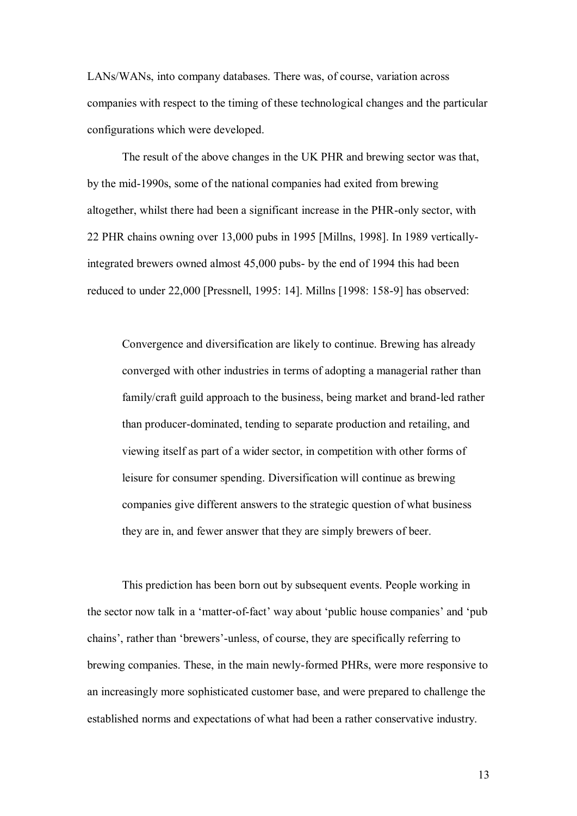LANs/WANs, into company databases. There was, of course, variation across companies with respect to the timing of these technological changes and the particular configurations which were developed.

The result of the above changes in the UK PHR and brewing sector was that, by the mid-1990s, some of the national companies had exited from brewing altogether, whilst there had been a significant increase in the PHR-only sector, with 22 PHR chains owning over 13,000 pubs in 1995 [Millns, 1998]. In 1989 verticallyintegrated brewers owned almost 45,000 pubs- by the end of 1994 this had been reduced to under 22,000 [Pressnell, 1995: 14]. Millns [1998: 158-9] has observed:

Convergence and diversification are likely to continue. Brewing has already converged with other industries in terms of adopting a managerial rather than family/craft guild approach to the business, being market and brand-led rather than producer-dominated, tending to separate production and retailing, and viewing itself as part of a wider sector, in competition with other forms of leisure for consumer spending. Diversification will continue as brewing companies give different answers to the strategic question of what business they are in, and fewer answer that they are simply brewers of beer.

This prediction has been born out by subsequent events. People working in the sector now talk in a "matter-of-fact" way about "public house companies" and "pub chains", rather than "brewers"-unless, of course, they are specifically referring to brewing companies. These, in the main newly-formed PHRs, were more responsive to an increasingly more sophisticated customer base, and were prepared to challenge the established norms and expectations of what had been a rather conservative industry.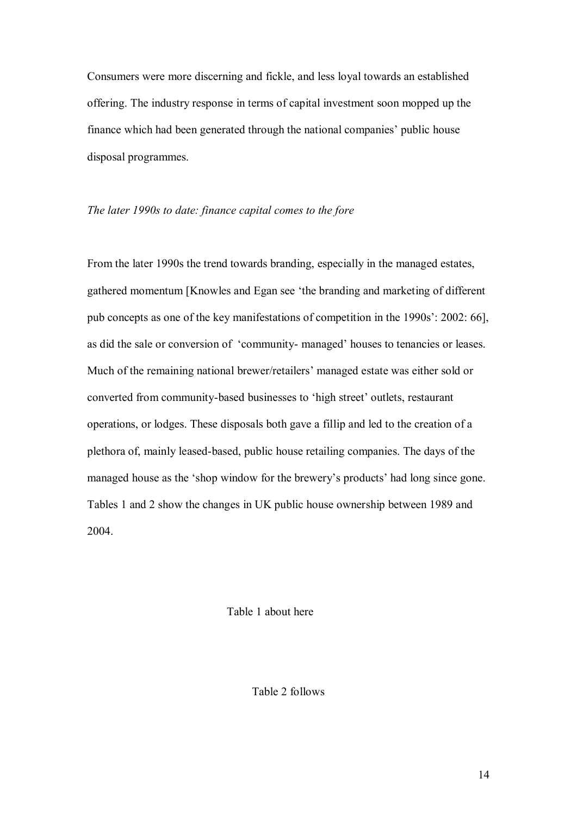Consumers were more discerning and fickle, and less loyal towards an established offering. The industry response in terms of capital investment soon mopped up the finance which had been generated through the national companies" public house disposal programmes.

#### *The later 1990s to date: finance capital comes to the fore*

From the later 1990s the trend towards branding, especially in the managed estates, gathered momentum [Knowles and Egan see "the branding and marketing of different pub concepts as one of the key manifestations of competition in the 1990s": 2002: 66], as did the sale or conversion of "community- managed" houses to tenancies or leases. Much of the remaining national brewer/retailers' managed estate was either sold or converted from community-based businesses to "high street" outlets, restaurant operations, or lodges. These disposals both gave a fillip and led to the creation of a plethora of, mainly leased-based, public house retailing companies. The days of the managed house as the 'shop window for the brewery's products' had long since gone. Tables 1 and 2 show the changes in UK public house ownership between 1989 and 2004.

Table 1 about here

Table 2 follows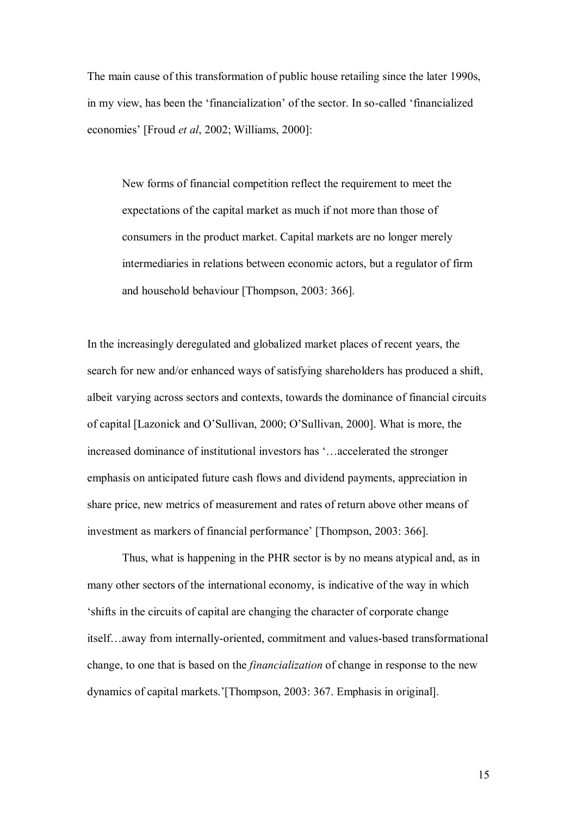The main cause of this transformation of public house retailing since the later 1990s, in my view, has been the "financialization" of the sector. In so-called "financialized economies" [Froud *et al*, 2002; Williams, 2000]:

New forms of financial competition reflect the requirement to meet the expectations of the capital market as much if not more than those of consumers in the product market. Capital markets are no longer merely intermediaries in relations between economic actors, but a regulator of firm and household behaviour [Thompson, 2003: 366].

In the increasingly deregulated and globalized market places of recent years, the search for new and/or enhanced ways of satisfying shareholders has produced a shift, albeit varying across sectors and contexts, towards the dominance of financial circuits of capital [Lazonick and O"Sullivan, 2000; O"Sullivan, 2000]. What is more, the increased dominance of institutional investors has "…accelerated the stronger emphasis on anticipated future cash flows and dividend payments, appreciation in share price, new metrics of measurement and rates of return above other means of investment as markers of financial performance' [Thompson, 2003: 366].

Thus, what is happening in the PHR sector is by no means atypical and, as in many other sectors of the international economy, is indicative of the way in which "shifts in the circuits of capital are changing the character of corporate change itself…away from internally-oriented, commitment and values-based transformational change, to one that is based on the *financialization* of change in response to the new dynamics of capital markets."[Thompson, 2003: 367. Emphasis in original].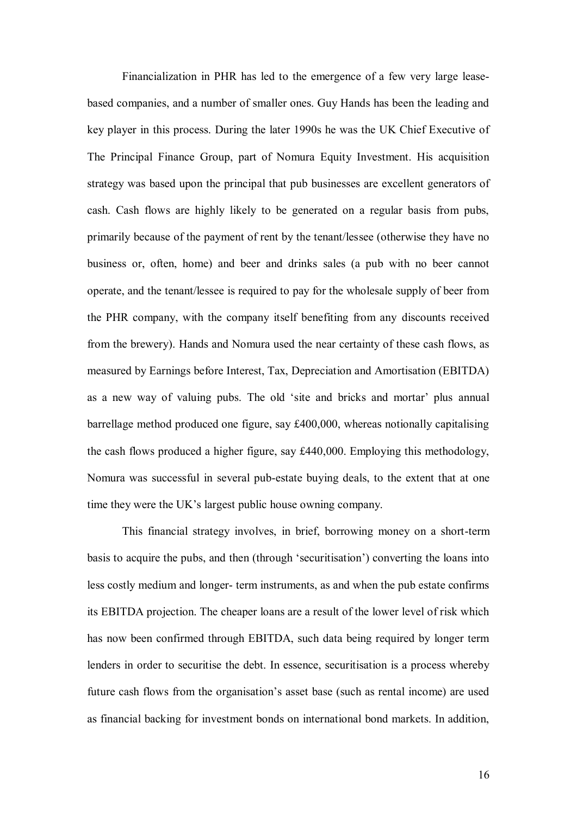Financialization in PHR has led to the emergence of a few very large leasebased companies, and a number of smaller ones. Guy Hands has been the leading and key player in this process. During the later 1990s he was the UK Chief Executive of The Principal Finance Group, part of Nomura Equity Investment. His acquisition strategy was based upon the principal that pub businesses are excellent generators of cash. Cash flows are highly likely to be generated on a regular basis from pubs, primarily because of the payment of rent by the tenant/lessee (otherwise they have no business or, often, home) and beer and drinks sales (a pub with no beer cannot operate, and the tenant/lessee is required to pay for the wholesale supply of beer from the PHR company, with the company itself benefiting from any discounts received from the brewery). Hands and Nomura used the near certainty of these cash flows, as measured by Earnings before Interest, Tax, Depreciation and Amortisation (EBITDA) as a new way of valuing pubs. The old "site and bricks and mortar" plus annual barrellage method produced one figure, say £400,000, whereas notionally capitalising the cash flows produced a higher figure, say £440,000. Employing this methodology, Nomura was successful in several pub-estate buying deals, to the extent that at one time they were the UK"s largest public house owning company.

This financial strategy involves, in brief, borrowing money on a short-term basis to acquire the pubs, and then (through "securitisation") converting the loans into less costly medium and longer- term instruments, as and when the pub estate confirms its EBITDA projection. The cheaper loans are a result of the lower level of risk which has now been confirmed through EBITDA, such data being required by longer term lenders in order to securitise the debt. In essence, securitisation is a process whereby future cash flows from the organisation"s asset base (such as rental income) are used as financial backing for investment bonds on international bond markets. In addition,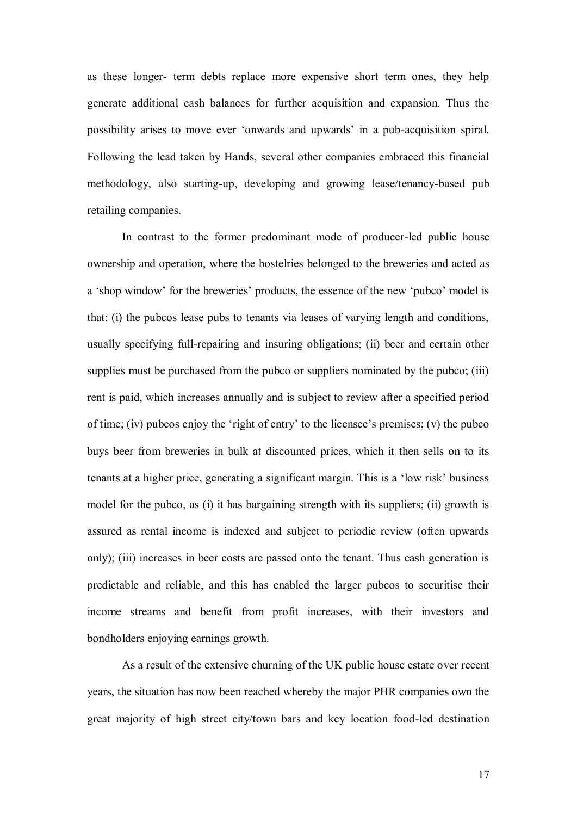as these longer- term debts replace more expensive short term ones, they help generate additional cash balances for further acquisition and expansion. Thus the possibility arises to move ever "onwards and upwards" in a pub-acquisition spiral. Following the lead taken by Hands, several other companies embraced this financial methodology, also starting-up, developing and growing lease/tenancy-based pub retailing companies.

In contrast to the former predominant mode of producer-led public house ownership and operation, where the hostelries belonged to the breweries and acted as a "shop window" for the breweries" products, the essence of the new "pubco" model is that: (i) the pubcos lease pubs to tenants via leases of varying length and conditions, usually specifying full-repairing and insuring obligations; (ii) beer and certain other supplies must be purchased from the pubco or suppliers nominated by the pubco; (iii) rent is paid, which increases annually and is subject to review after a specified period of time; (iv) pubcos enjoy the "right of entry" to the licensee"s premises; (v) the pubco buys beer from breweries in bulk at discounted prices, which it then sells on to its tenants at a higher price, generating a significant margin. This is a "low risk" business model for the pubco, as (i) it has bargaining strength with its suppliers; (ii) growth is assured as rental income is indexed and subject to periodic review (often upwards only); (iii) increases in beer costs are passed onto the tenant. Thus cash generation is predictable and reliable, and this has enabled the larger pubcos to securitise their income streams and benefit from profit increases, with their investors and bondholders enjoying earnings growth.

As a result of the extensive churning of the UK public house estate over recent years, the situation has now been reached whereby the major PHR companies own the great majority of high street city/town bars and key location food-led destination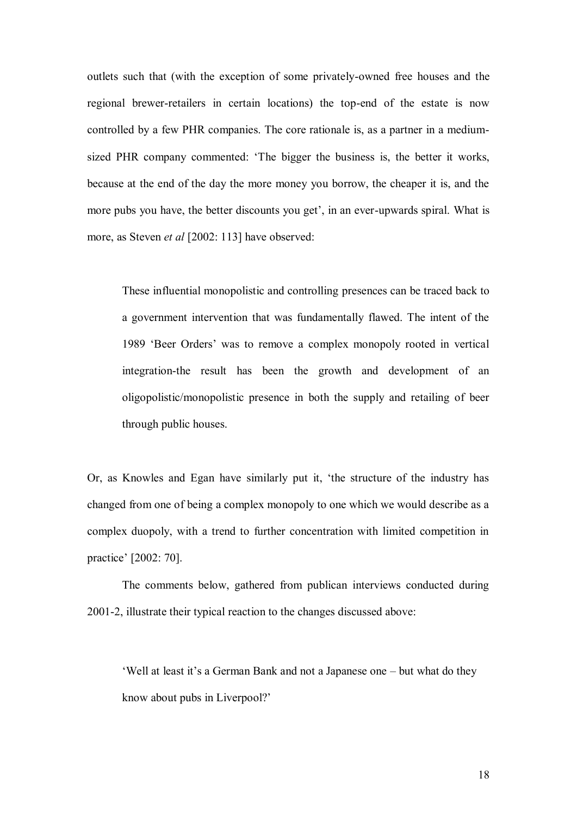outlets such that (with the exception of some privately-owned free houses and the regional brewer-retailers in certain locations) the top-end of the estate is now controlled by a few PHR companies. The core rationale is, as a partner in a mediumsized PHR company commented: "The bigger the business is, the better it works, because at the end of the day the more money you borrow, the cheaper it is, and the more pubs you have, the better discounts you get', in an ever-upwards spiral. What is more, as Steven *et al* [2002: 113] have observed:

These influential monopolistic and controlling presences can be traced back to a government intervention that was fundamentally flawed. The intent of the 1989 "Beer Orders" was to remove a complex monopoly rooted in vertical integration-the result has been the growth and development of an oligopolistic/monopolistic presence in both the supply and retailing of beer through public houses.

Or, as Knowles and Egan have similarly put it, "the structure of the industry has changed from one of being a complex monopoly to one which we would describe as a complex duopoly, with a trend to further concentration with limited competition in practice" [2002: 70].

The comments below, gathered from publican interviews conducted during 2001-2, illustrate their typical reaction to the changes discussed above:

"Well at least it's a German Bank and not a Japanese one – but what do they know about pubs in Liverpool?"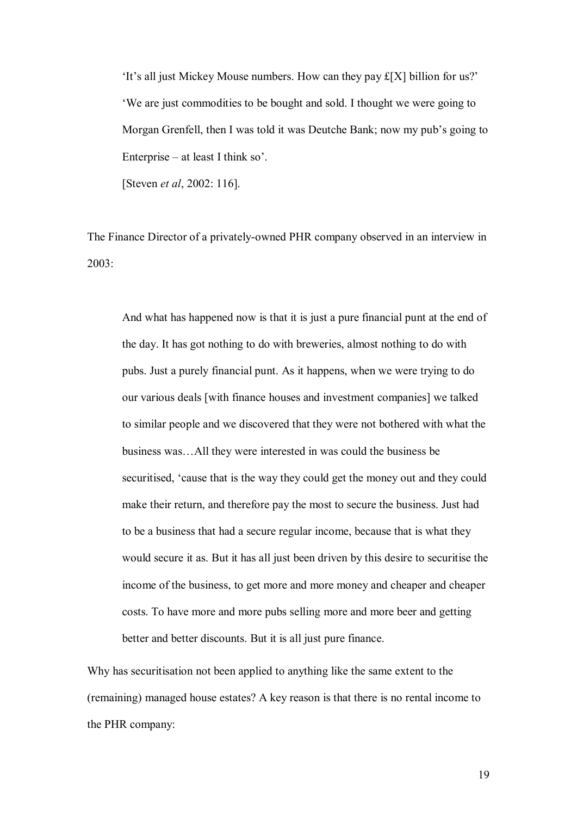"It"s all just Mickey Mouse numbers. How can they pay £[X] billion for us?" "We are just commodities to be bought and sold. I thought we were going to Morgan Grenfell, then I was told it was Deutche Bank; now my pub's going to Enterprise – at least I think so'.

[Steven *et al*, 2002: 116].

The Finance Director of a privately-owned PHR company observed in an interview in 2003:

And what has happened now is that it is just a pure financial punt at the end of the day. It has got nothing to do with breweries, almost nothing to do with pubs. Just a purely financial punt. As it happens, when we were trying to do our various deals [with finance houses and investment companies] we talked to similar people and we discovered that they were not bothered with what the business was…All they were interested in was could the business be securitised, "cause that is the way they could get the money out and they could make their return, and therefore pay the most to secure the business. Just had to be a business that had a secure regular income, because that is what they would secure it as. But it has all just been driven by this desire to securitise the income of the business, to get more and more money and cheaper and cheaper costs. To have more and more pubs selling more and more beer and getting better and better discounts. But it is all just pure finance.

Why has securitisation not been applied to anything like the same extent to the (remaining) managed house estates? A key reason is that there is no rental income to the PHR company: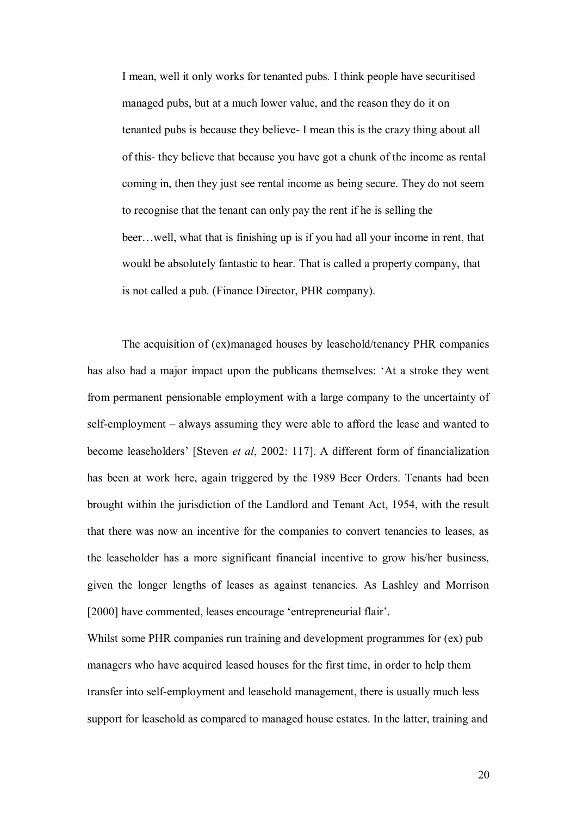I mean, well it only works for tenanted pubs. I think people have securitised managed pubs, but at a much lower value, and the reason they do it on tenanted pubs is because they believe- I mean this is the crazy thing about all of this- they believe that because you have got a chunk of the income as rental coming in, then they just see rental income as being secure. They do not seem to recognise that the tenant can only pay the rent if he is selling the beer…well, what that is finishing up is if you had all your income in rent, that would be absolutely fantastic to hear. That is called a property company, that is not called a pub. (Finance Director, PHR company).

The acquisition of (ex)managed houses by leasehold/tenancy PHR companies has also had a major impact upon the publicans themselves: "At a stroke they went from permanent pensionable employment with a large company to the uncertainty of self-employment – always assuming they were able to afford the lease and wanted to become leaseholders" [Steven *et al*, 2002: 117]. A different form of financialization has been at work here, again triggered by the 1989 Beer Orders. Tenants had been brought within the jurisdiction of the Landlord and Tenant Act, 1954, with the result that there was now an incentive for the companies to convert tenancies to leases, as the leaseholder has a more significant financial incentive to grow his/her business, given the longer lengths of leases as against tenancies. As Lashley and Morrison [2000] have commented, leases encourage 'entrepreneurial flair'.

Whilst some PHR companies run training and development programmes for (ex) pub managers who have acquired leased houses for the first time, in order to help them transfer into self-employment and leasehold management, there is usually much less support for leasehold as compared to managed house estates. In the latter, training and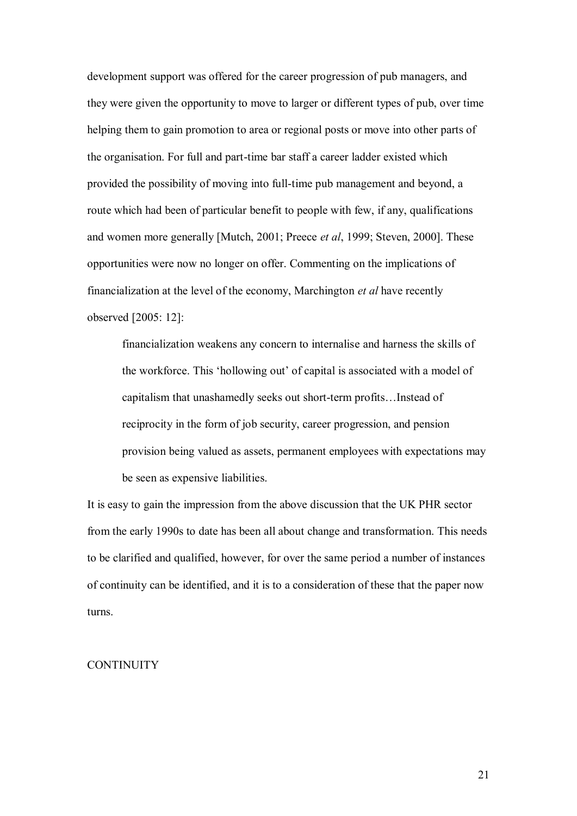development support was offered for the career progression of pub managers, and they were given the opportunity to move to larger or different types of pub, over time helping them to gain promotion to area or regional posts or move into other parts of the organisation. For full and part-time bar staff a career ladder existed which provided the possibility of moving into full-time pub management and beyond, a route which had been of particular benefit to people with few, if any, qualifications and women more generally [Mutch, 2001; Preece *et al*, 1999; Steven, 2000]. These opportunities were now no longer on offer. Commenting on the implications of financialization at the level of the economy, Marchington *et al* have recently observed [2005: 12]:

financialization weakens any concern to internalise and harness the skills of the workforce. This "hollowing out" of capital is associated with a model of capitalism that unashamedly seeks out short-term profits…Instead of reciprocity in the form of job security, career progression, and pension provision being valued as assets, permanent employees with expectations may be seen as expensive liabilities.

It is easy to gain the impression from the above discussion that the UK PHR sector from the early 1990s to date has been all about change and transformation. This needs to be clarified and qualified, however, for over the same period a number of instances of continuity can be identified, and it is to a consideration of these that the paper now turns.

### **CONTINUITY**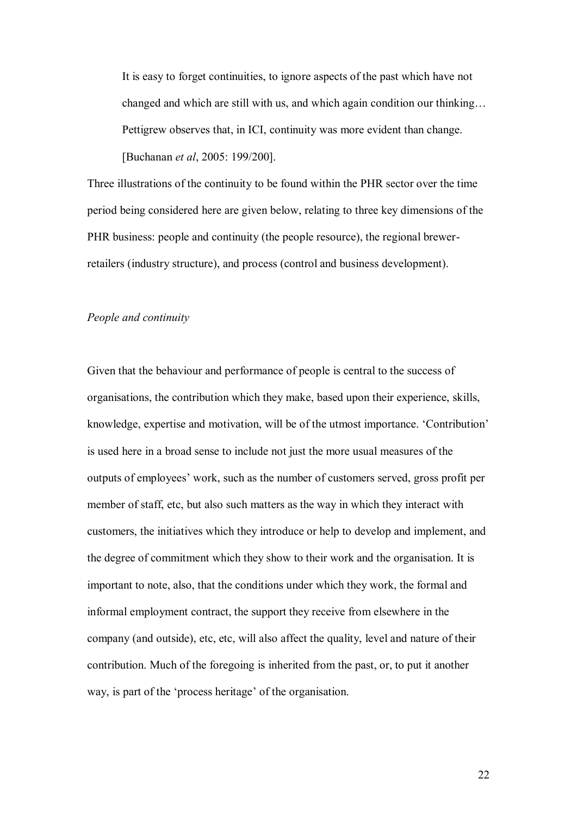It is easy to forget continuities, to ignore aspects of the past which have not changed and which are still with us, and which again condition our thinking… Pettigrew observes that, in ICI, continuity was more evident than change. [Buchanan *et al*, 2005: 199/200].

Three illustrations of the continuity to be found within the PHR sector over the time period being considered here are given below, relating to three key dimensions of the PHR business: people and continuity (the people resource), the regional brewerretailers (industry structure), and process (control and business development).

#### *People and continuity*

Given that the behaviour and performance of people is central to the success of organisations, the contribution which they make, based upon their experience, skills, knowledge, expertise and motivation, will be of the utmost importance. "Contribution" is used here in a broad sense to include not just the more usual measures of the outputs of employees" work, such as the number of customers served, gross profit per member of staff, etc, but also such matters as the way in which they interact with customers, the initiatives which they introduce or help to develop and implement, and the degree of commitment which they show to their work and the organisation. It is important to note, also, that the conditions under which they work, the formal and informal employment contract, the support they receive from elsewhere in the company (and outside), etc, etc, will also affect the quality, level and nature of their contribution. Much of the foregoing is inherited from the past, or, to put it another way, is part of the 'process heritage' of the organisation.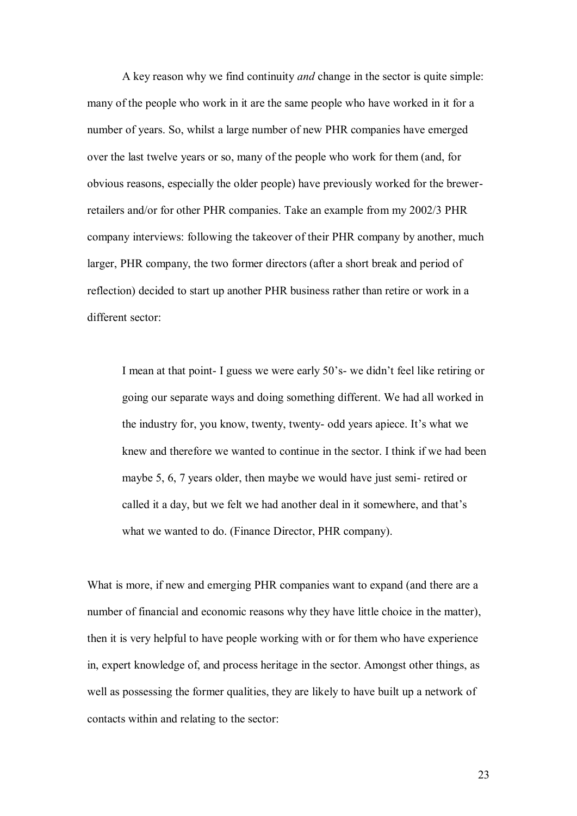A key reason why we find continuity *and* change in the sector is quite simple: many of the people who work in it are the same people who have worked in it for a number of years. So, whilst a large number of new PHR companies have emerged over the last twelve years or so, many of the people who work for them (and, for obvious reasons, especially the older people) have previously worked for the brewerretailers and/or for other PHR companies. Take an example from my 2002/3 PHR company interviews: following the takeover of their PHR company by another, much larger, PHR company, the two former directors (after a short break and period of reflection) decided to start up another PHR business rather than retire or work in a different sector:

I mean at that point- I guess we were early 50"s- we didn"t feel like retiring or going our separate ways and doing something different. We had all worked in the industry for, you know, twenty, twenty- odd years apiece. It's what we knew and therefore we wanted to continue in the sector. I think if we had been maybe 5, 6, 7 years older, then maybe we would have just semi- retired or called it a day, but we felt we had another deal in it somewhere, and that"s what we wanted to do. (Finance Director, PHR company).

What is more, if new and emerging PHR companies want to expand (and there are a number of financial and economic reasons why they have little choice in the matter), then it is very helpful to have people working with or for them who have experience in, expert knowledge of, and process heritage in the sector. Amongst other things, as well as possessing the former qualities, they are likely to have built up a network of contacts within and relating to the sector: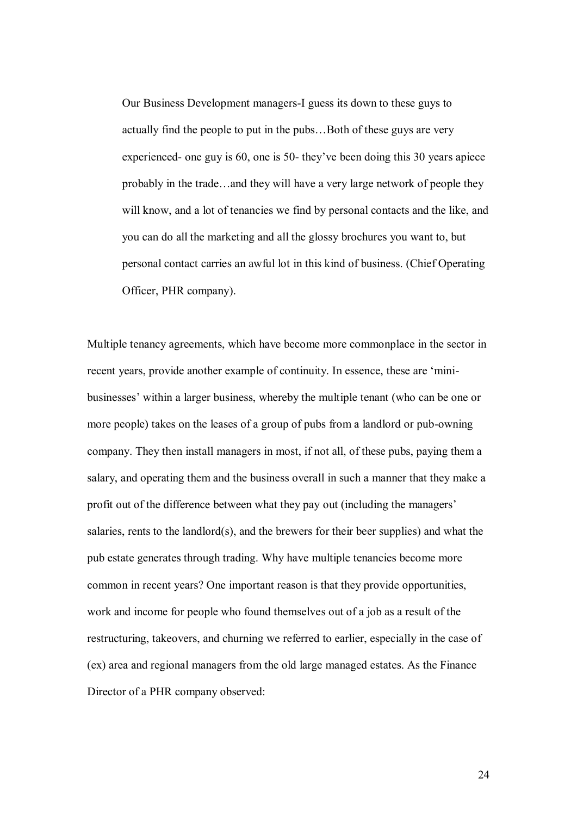Our Business Development managers-I guess its down to these guys to actually find the people to put in the pubs…Both of these guys are very experienced- one guy is 60, one is 50- they"ve been doing this 30 years apiece probably in the trade…and they will have a very large network of people they will know, and a lot of tenancies we find by personal contacts and the like, and you can do all the marketing and all the glossy brochures you want to, but personal contact carries an awful lot in this kind of business. (Chief Operating Officer, PHR company).

Multiple tenancy agreements, which have become more commonplace in the sector in recent years, provide another example of continuity. In essence, these are "minibusinesses" within a larger business, whereby the multiple tenant (who can be one or more people) takes on the leases of a group of pubs from a landlord or pub-owning company. They then install managers in most, if not all, of these pubs, paying them a salary, and operating them and the business overall in such a manner that they make a profit out of the difference between what they pay out (including the managers" salaries, rents to the landlord(s), and the brewers for their beer supplies) and what the pub estate generates through trading. Why have multiple tenancies become more common in recent years? One important reason is that they provide opportunities, work and income for people who found themselves out of a job as a result of the restructuring, takeovers, and churning we referred to earlier, especially in the case of (ex) area and regional managers from the old large managed estates. As the Finance Director of a PHR company observed: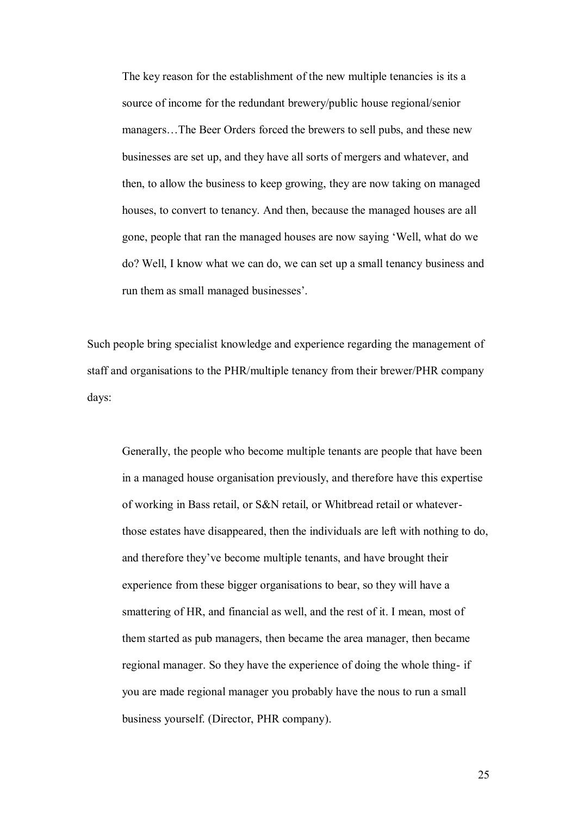The key reason for the establishment of the new multiple tenancies is its a source of income for the redundant brewery/public house regional/senior managers…The Beer Orders forced the brewers to sell pubs, and these new businesses are set up, and they have all sorts of mergers and whatever, and then, to allow the business to keep growing, they are now taking on managed houses, to convert to tenancy. And then, because the managed houses are all gone, people that ran the managed houses are now saying "Well, what do we do? Well, I know what we can do, we can set up a small tenancy business and run them as small managed businesses".

Such people bring specialist knowledge and experience regarding the management of staff and organisations to the PHR/multiple tenancy from their brewer/PHR company days:

 Generally, the people who become multiple tenants are people that have been in a managed house organisation previously, and therefore have this expertise of working in Bass retail, or S&N retail, or Whitbread retail or whateverthose estates have disappeared, then the individuals are left with nothing to do, and therefore they"ve become multiple tenants, and have brought their experience from these bigger organisations to bear, so they will have a smattering of HR, and financial as well, and the rest of it. I mean, most of them started as pub managers, then became the area manager, then became regional manager. So they have the experience of doing the whole thing- if you are made regional manager you probably have the nous to run a small business yourself. (Director, PHR company).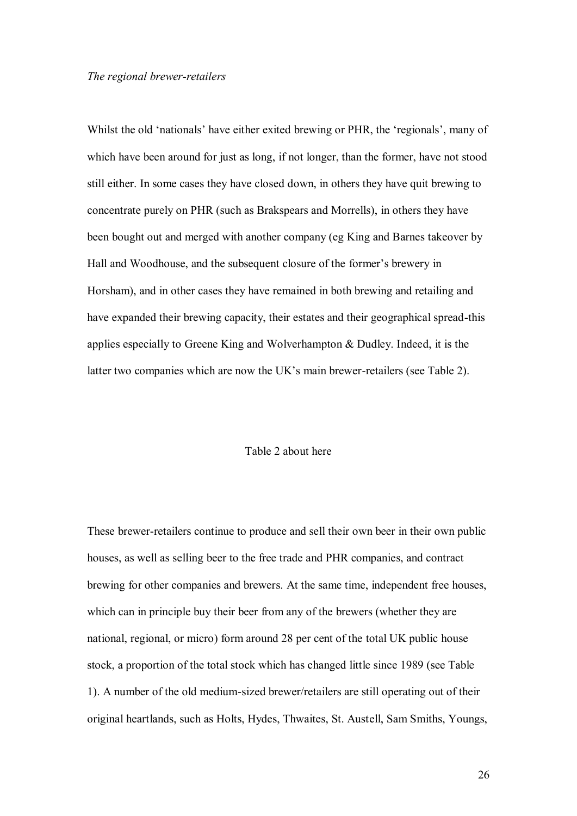#### *The regional brewer-retailers*

Whilst the old 'nationals' have either exited brewing or PHR, the 'regionals', many of which have been around for just as long, if not longer, than the former, have not stood still either. In some cases they have closed down, in others they have quit brewing to concentrate purely on PHR (such as Brakspears and Morrells), in others they have been bought out and merged with another company (eg King and Barnes takeover by Hall and Woodhouse, and the subsequent closure of the former"s brewery in Horsham), and in other cases they have remained in both brewing and retailing and have expanded their brewing capacity, their estates and their geographical spread-this applies especially to Greene King and Wolverhampton & Dudley. Indeed, it is the latter two companies which are now the UK"s main brewer-retailers (see Table 2).

#### Table 2 about here

These brewer-retailers continue to produce and sell their own beer in their own public houses, as well as selling beer to the free trade and PHR companies, and contract brewing for other companies and brewers. At the same time, independent free houses, which can in principle buy their beer from any of the brewers (whether they are national, regional, or micro) form around 28 per cent of the total UK public house stock, a proportion of the total stock which has changed little since 1989 (see Table 1). A number of the old medium-sized brewer/retailers are still operating out of their original heartlands, such as Holts, Hydes, Thwaites, St. Austell, Sam Smiths, Youngs,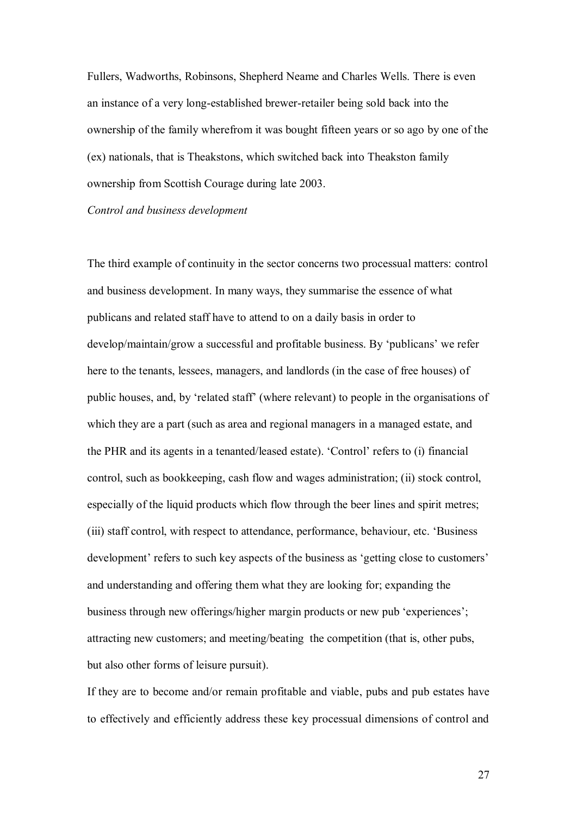Fullers, Wadworths, Robinsons, Shepherd Neame and Charles Wells. There is even an instance of a very long-established brewer-retailer being sold back into the ownership of the family wherefrom it was bought fifteen years or so ago by one of the (ex) nationals, that is Theakstons, which switched back into Theakston family ownership from Scottish Courage during late 2003.

#### *Control and business development*

The third example of continuity in the sector concerns two processual matters: control and business development. In many ways, they summarise the essence of what publicans and related staff have to attend to on a daily basis in order to develop/maintain/grow a successful and profitable business. By 'publicans' we refer here to the tenants, lessees, managers, and landlords (in the case of free houses) of public houses, and, by "related staff" (where relevant) to people in the organisations of which they are a part (such as area and regional managers in a managed estate, and the PHR and its agents in a tenanted/leased estate). "Control" refers to (i) financial control, such as bookkeeping, cash flow and wages administration; (ii) stock control, especially of the liquid products which flow through the beer lines and spirit metres; (iii) staff control, with respect to attendance, performance, behaviour, etc. "Business development' refers to such key aspects of the business as 'getting close to customers' and understanding and offering them what they are looking for; expanding the business through new offerings/higher margin products or new pub "experiences"; attracting new customers; and meeting/beating the competition (that is, other pubs, but also other forms of leisure pursuit).

If they are to become and/or remain profitable and viable, pubs and pub estates have to effectively and efficiently address these key processual dimensions of control and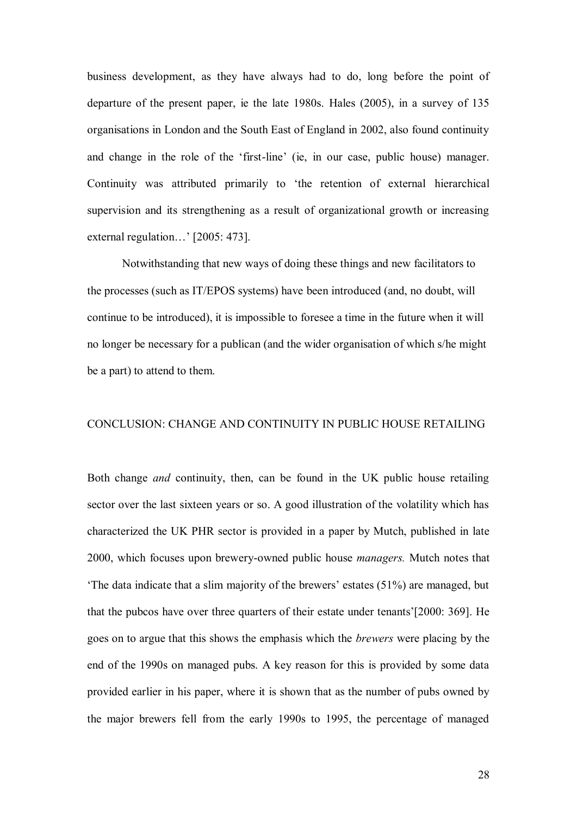business development, as they have always had to do, long before the point of departure of the present paper, ie the late 1980s. Hales (2005), in a survey of 135 organisations in London and the South East of England in 2002, also found continuity and change in the role of the "first-line" (ie, in our case, public house) manager. Continuity was attributed primarily to "the retention of external hierarchical supervision and its strengthening as a result of organizational growth or increasing external regulation...' [2005: 473].

Notwithstanding that new ways of doing these things and new facilitators to the processes (such as IT/EPOS systems) have been introduced (and, no doubt, will continue to be introduced), it is impossible to foresee a time in the future when it will no longer be necessary for a publican (and the wider organisation of which s/he might be a part) to attend to them.

#### CONCLUSION: CHANGE AND CONTINUITY IN PUBLIC HOUSE RETAILING

Both change *and* continuity, then, can be found in the UK public house retailing sector over the last sixteen years or so. A good illustration of the volatility which has characterized the UK PHR sector is provided in a paper by Mutch, published in late 2000, which focuses upon brewery-owned public house *managers.* Mutch notes that The data indicate that a slim majority of the brewers' estates  $(51\%)$  are managed, but that the pubcos have over three quarters of their estate under tenants"[2000: 369]. He goes on to argue that this shows the emphasis which the *brewers* were placing by the end of the 1990s on managed pubs. A key reason for this is provided by some data provided earlier in his paper, where it is shown that as the number of pubs owned by the major brewers fell from the early 1990s to 1995, the percentage of managed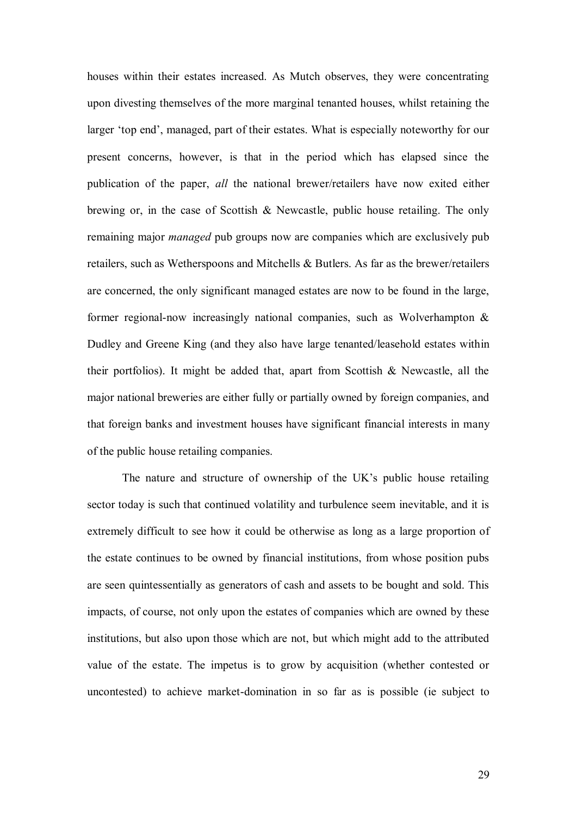houses within their estates increased. As Mutch observes, they were concentrating upon divesting themselves of the more marginal tenanted houses, whilst retaining the larger 'top end', managed, part of their estates. What is especially noteworthy for our present concerns, however, is that in the period which has elapsed since the publication of the paper, *all* the national brewer/retailers have now exited either brewing or, in the case of Scottish & Newcastle, public house retailing. The only remaining major *managed* pub groups now are companies which are exclusively pub retailers, such as Wetherspoons and Mitchells & Butlers. As far as the brewer/retailers are concerned, the only significant managed estates are now to be found in the large, former regional-now increasingly national companies, such as Wolverhampton & Dudley and Greene King (and they also have large tenanted/leasehold estates within their portfolios). It might be added that, apart from Scottish & Newcastle, all the major national breweries are either fully or partially owned by foreign companies, and that foreign banks and investment houses have significant financial interests in many of the public house retailing companies.

The nature and structure of ownership of the UK"s public house retailing sector today is such that continued volatility and turbulence seem inevitable, and it is extremely difficult to see how it could be otherwise as long as a large proportion of the estate continues to be owned by financial institutions, from whose position pubs are seen quintessentially as generators of cash and assets to be bought and sold. This impacts, of course, not only upon the estates of companies which are owned by these institutions, but also upon those which are not, but which might add to the attributed value of the estate. The impetus is to grow by acquisition (whether contested or uncontested) to achieve market-domination in so far as is possible (ie subject to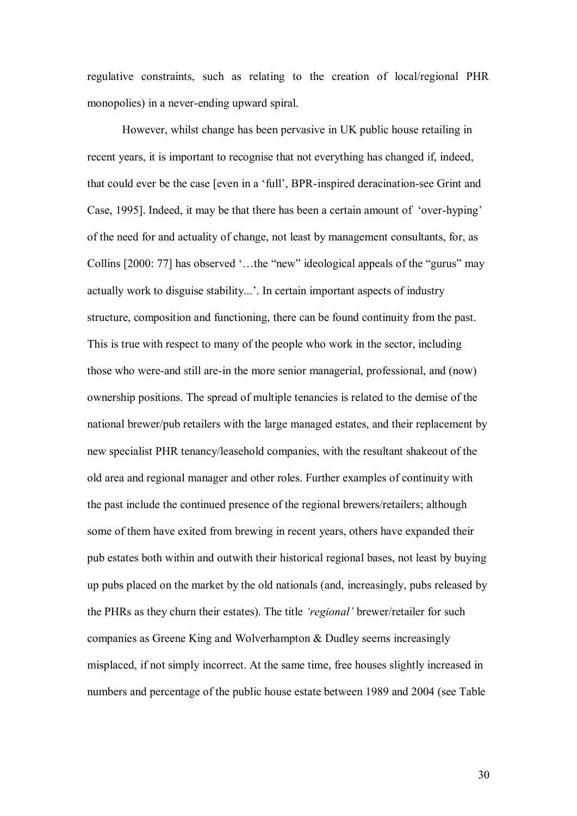regulative constraints, such as relating to the creation of local/regional PHR monopolies) in a never-ending upward spiral.

However, whilst change has been pervasive in UK public house retailing in recent years, it is important to recognise that not everything has changed if, indeed, that could ever be the case [even in a "full", BPR-inspired deracination-see Grint and Case, 1995]. Indeed, it may be that there has been a certain amount of "over-hyping" of the need for and actuality of change, not least by management consultants, for, as Collins [2000: 77] has observed "…the "new" ideological appeals of the "gurus" may actually work to disguise stability...'. In certain important aspects of industry structure, composition and functioning, there can be found continuity from the past. This is true with respect to many of the people who work in the sector, including those who were-and still are-in the more senior managerial, professional, and (now) ownership positions. The spread of multiple tenancies is related to the demise of the national brewer/pub retailers with the large managed estates, and their replacement by new specialist PHR tenancy/leasehold companies, with the resultant shakeout of the old area and regional manager and other roles. Further examples of continuity with the past include the continued presence of the regional brewers/retailers; although some of them have exited from brewing in recent years, others have expanded their pub estates both within and outwith their historical regional bases, not least by buying up pubs placed on the market by the old nationals (and, increasingly, pubs released by the PHRs as they churn their estates). The title *'regional'* brewer/retailer for such companies as Greene King and Wolverhampton & Dudley seems increasingly misplaced, if not simply incorrect. At the same time, free houses slightly increased in numbers and percentage of the public house estate between 1989 and 2004 (see Table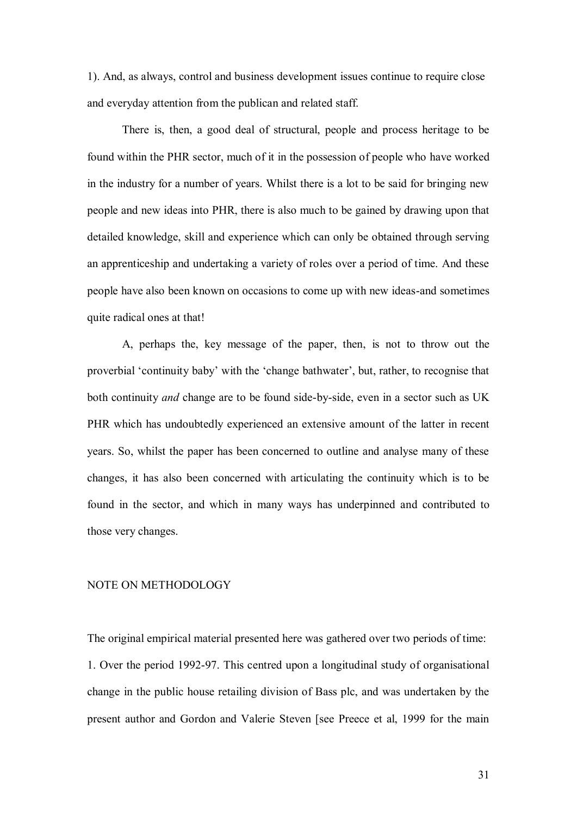1). And, as always, control and business development issues continue to require close and everyday attention from the publican and related staff.

There is, then, a good deal of structural, people and process heritage to be found within the PHR sector, much of it in the possession of people who have worked in the industry for a number of years. Whilst there is a lot to be said for bringing new people and new ideas into PHR, there is also much to be gained by drawing upon that detailed knowledge, skill and experience which can only be obtained through serving an apprenticeship and undertaking a variety of roles over a period of time. And these people have also been known on occasions to come up with new ideas-and sometimes quite radical ones at that!

A, perhaps the, key message of the paper, then, is not to throw out the proverbial "continuity baby" with the "change bathwater", but, rather, to recognise that both continuity *and* change are to be found side-by-side, even in a sector such as UK PHR which has undoubtedly experienced an extensive amount of the latter in recent years. So, whilst the paper has been concerned to outline and analyse many of these changes, it has also been concerned with articulating the continuity which is to be found in the sector, and which in many ways has underpinned and contributed to those very changes.

#### NOTE ON METHODOLOGY

The original empirical material presented here was gathered over two periods of time: 1. Over the period 1992-97. This centred upon a longitudinal study of organisational change in the public house retailing division of Bass plc, and was undertaken by the present author and Gordon and Valerie Steven [see Preece et al, 1999 for the main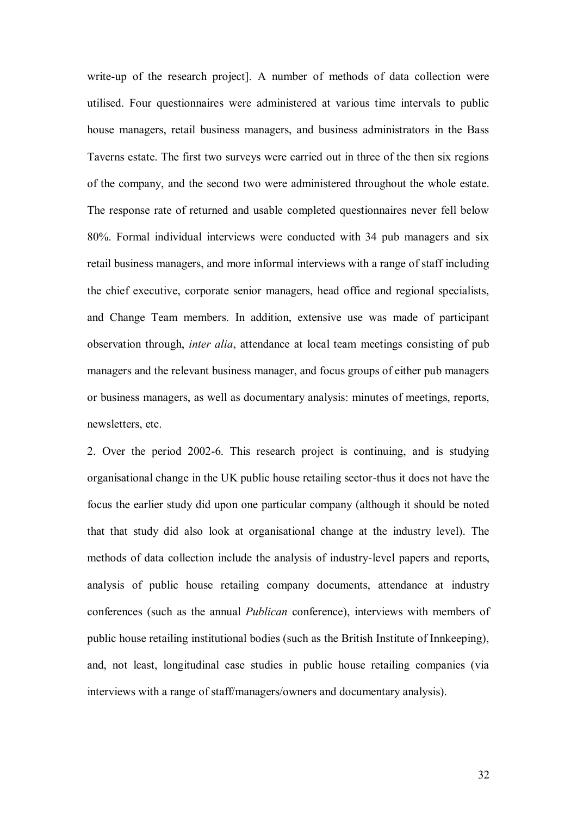write-up of the research project]. A number of methods of data collection were utilised. Four questionnaires were administered at various time intervals to public house managers, retail business managers, and business administrators in the Bass Taverns estate. The first two surveys were carried out in three of the then six regions of the company, and the second two were administered throughout the whole estate. The response rate of returned and usable completed questionnaires never fell below 80%. Formal individual interviews were conducted with 34 pub managers and six retail business managers, and more informal interviews with a range of staff including the chief executive, corporate senior managers, head office and regional specialists, and Change Team members. In addition, extensive use was made of participant observation through, *inter alia*, attendance at local team meetings consisting of pub managers and the relevant business manager, and focus groups of either pub managers or business managers, as well as documentary analysis: minutes of meetings, reports, newsletters, etc.

2. Over the period 2002-6. This research project is continuing, and is studying organisational change in the UK public house retailing sector-thus it does not have the focus the earlier study did upon one particular company (although it should be noted that that study did also look at organisational change at the industry level). The methods of data collection include the analysis of industry-level papers and reports, analysis of public house retailing company documents, attendance at industry conferences (such as the annual *Publican* conference), interviews with members of public house retailing institutional bodies (such as the British Institute of Innkeeping), and, not least, longitudinal case studies in public house retailing companies (via interviews with a range of staff/managers/owners and documentary analysis).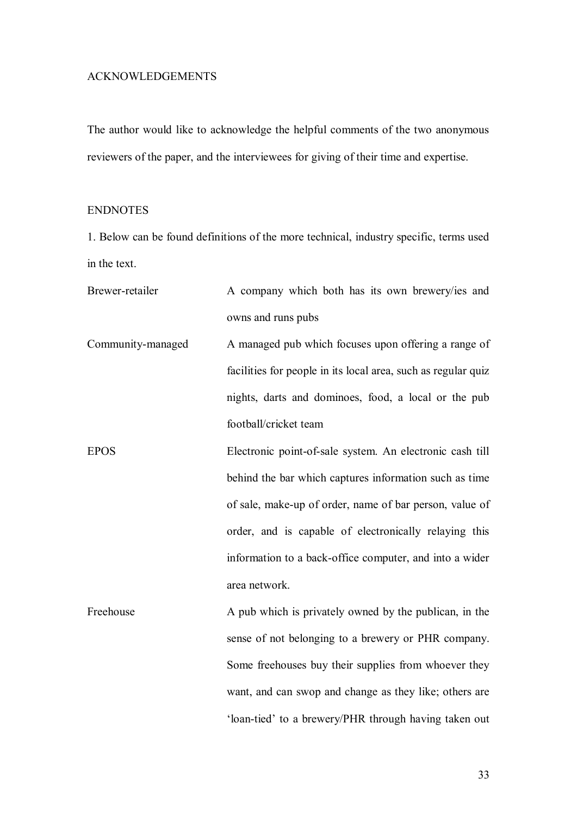## ACKNOWLEDGEMENTS

The author would like to acknowledge the helpful comments of the two anonymous reviewers of the paper, and the interviewees for giving of their time and expertise.

## ENDNOTES

1. Below can be found definitions of the more technical, industry specific, terms used in the text.

| Brewer-retailer   | A company which both has its own brewery/ies and              |
|-------------------|---------------------------------------------------------------|
|                   | owns and runs pubs                                            |
| Community-managed | A managed pub which focuses upon offering a range of          |
|                   | facilities for people in its local area, such as regular quiz |
|                   | nights, darts and dominoes, food, a local or the pub          |
|                   | football/cricket team                                         |
| <b>EPOS</b>       | Electronic point-of-sale system. An electronic cash till      |
|                   | behind the bar which captures information such as time        |
|                   | of sale, make-up of order, name of bar person, value of       |
|                   | order, and is capable of electronically relaying this         |
|                   | information to a back-office computer, and into a wider       |
|                   | area network.                                                 |
| Freehouse         | A pub which is privately owned by the publican, in the        |
|                   | sense of not belonging to a brewery or PHR company.           |
|                   | Some freehouses buy their supplies from whoever they          |
|                   | want, and can swop and change as they like; others are        |
|                   | 'loan-tied' to a brewery/PHR through having taken out         |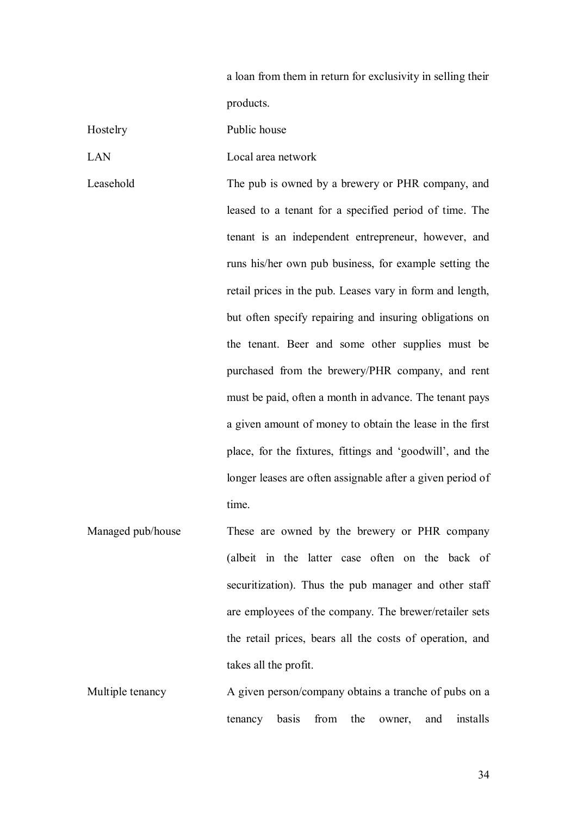a loan from them in return for exclusivity in selling their products.

Hostelry Public house

LAN Local area network

Leasehold The pub is owned by a brewery or PHR company, and leased to a tenant for a specified period of time. The tenant is an independent entrepreneur, however, and runs his/her own pub business, for example setting the retail prices in the pub. Leases vary in form and length, but often specify repairing and insuring obligations on the tenant. Beer and some other supplies must be purchased from the brewery/PHR company, and rent must be paid, often a month in advance. The tenant pays a given amount of money to obtain the lease in the first place, for the fixtures, fittings and "goodwill", and the longer leases are often assignable after a given period of time.

Managed pub/house These are owned by the brewery or PHR company (albeit in the latter case often on the back of securitization). Thus the pub manager and other staff are employees of the company. The brewer/retailer sets the retail prices, bears all the costs of operation, and takes all the profit.

Multiple tenancy A given person/company obtains a tranche of pubs on a tenancy basis from the owner, and installs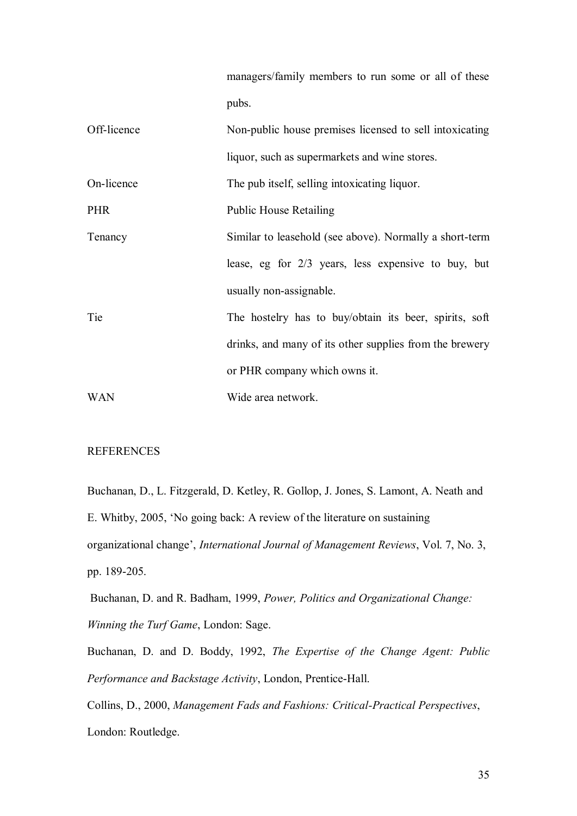|             | pubs.                                                   |
|-------------|---------------------------------------------------------|
| Off-licence | Non-public house premises licensed to sell intoxicating |
|             | liquor, such as supermarkets and wine stores.           |
| On-licence  | The pub itself, selling intoxicating liquor.            |
| <b>PHR</b>  | <b>Public House Retailing</b>                           |
| Tenancy     | Similar to leasehold (see above). Normally a short-term |
|             | lease, eg for 2/3 years, less expensive to buy, but     |
|             | usually non-assignable.                                 |
| Tie         | The hostelry has to buy/obtain its beer, spirits, soft  |
|             | drinks, and many of its other supplies from the brewery |
|             | or PHR company which owns it.                           |
| <b>WAN</b>  | Wide area network.                                      |

managers/family members to run some or all of these

#### **REFERENCES**

Buchanan, D., L. Fitzgerald, D. Ketley, R. Gollop, J. Jones, S. Lamont, A. Neath and E. Whitby, 2005, "No going back: A review of the literature on sustaining organizational change", *International Journal of Management Reviews*, Vol. 7, No. 3, pp. 189-205.

 Buchanan, D. and R. Badham, 1999, *Power, Politics and Organizational Change: Winning the Turf Game*, London: Sage.

Buchanan, D. and D. Boddy, 1992, *The Expertise of the Change Agent: Public Performance and Backstage Activity*, London, Prentice-Hall.

Collins, D., 2000, *Management Fads and Fashions: Critical-Practical Perspectives*, London: Routledge.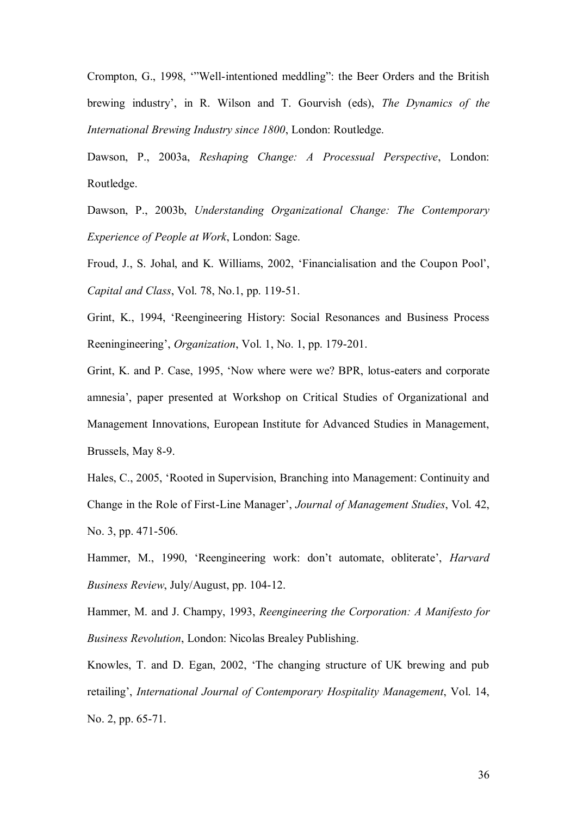Crompton, G., 1998, ""Well-intentioned meddling": the Beer Orders and the British brewing industry", in R. Wilson and T. Gourvish (eds), *The Dynamics of the International Brewing Industry since 1800*, London: Routledge.

Dawson, P., 2003a, *Reshaping Change: A Processual Perspective*, London: Routledge.

Dawson, P., 2003b, *Understanding Organizational Change: The Contemporary Experience of People at Work*, London: Sage.

Froud, J., S. Johal, and K. Williams, 2002, "Financialisation and the Coupon Pool", *Capital and Class*, Vol. 78, No.1, pp. 119-51.

Grint, K., 1994, "Reengineering History: Social Resonances and Business Process Reeningineering", *Organization*, Vol. 1, No. 1, pp. 179-201.

Grint, K. and P. Case, 1995, "Now where were we? BPR, lotus-eaters and corporate amnesia", paper presented at Workshop on Critical Studies of Organizational and Management Innovations, European Institute for Advanced Studies in Management, Brussels, May 8-9.

Hales, C., 2005, "Rooted in Supervision, Branching into Management: Continuity and Change in the Role of First-Line Manager", *Journal of Management Studies*, Vol. 42, No. 3, pp. 471-506.

Hammer, M., 1990, 'Reengineering work: don't automate, obliterate', *Harvard Business Review*, July/August, pp. 104-12.

Hammer, M. and J. Champy, 1993, *Reengineering the Corporation: A Manifesto for Business Revolution*, London: Nicolas Brealey Publishing.

Knowles, T. and D. Egan, 2002, "The changing structure of UK brewing and pub retailing", *International Journal of Contemporary Hospitality Management*, Vol. 14, No. 2, pp. 65-71.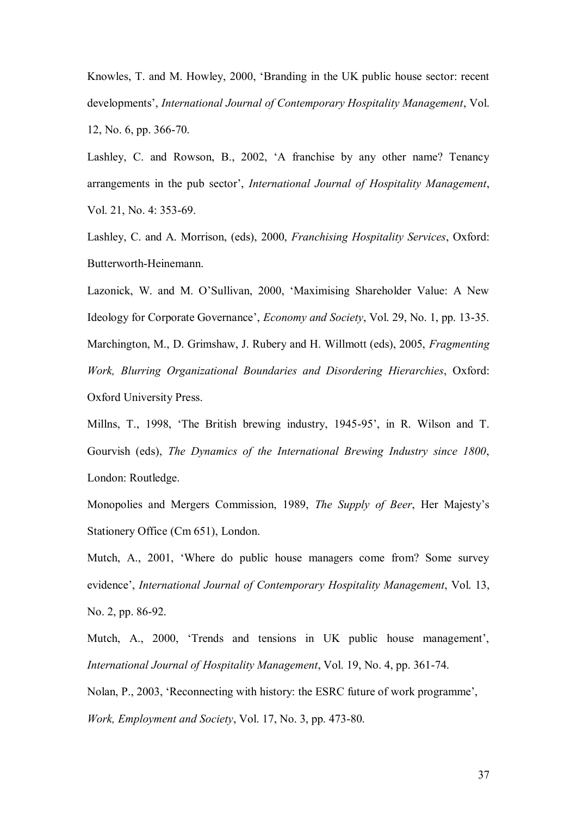Knowles, T. and M. Howley, 2000, "Branding in the UK public house sector: recent developments", *International Journal of Contemporary Hospitality Management*, Vol. 12, No. 6, pp. 366-70.

Lashley, C. and Rowson, B., 2002, "A franchise by any other name? Tenancy arrangements in the pub sector", *International Journal of Hospitality Management*, Vol. 21, No. 4: 353-69.

Lashley, C. and A. Morrison, (eds), 2000, *Franchising Hospitality Services*, Oxford: Butterworth-Heinemann.

Lazonick, W. and M. O"Sullivan, 2000, "Maximising Shareholder Value: A New Ideology for Corporate Governance", *Economy and Society*, Vol. 29, No. 1, pp. 13-35. Marchington, M., D. Grimshaw, J. Rubery and H. Willmott (eds), 2005, *Fragmenting Work, Blurring Organizational Boundaries and Disordering Hierarchies*, Oxford: Oxford University Press.

Millns, T., 1998, 'The British brewing industry, 1945-95', in R. Wilson and T. Gourvish (eds), *The Dynamics of the International Brewing Industry since 1800*, London: Routledge.

Monopolies and Mergers Commission, 1989, *The Supply of Beer*, Her Majesty"s Stationery Office (Cm 651), London.

Mutch, A., 2001, "Where do public house managers come from? Some survey evidence", *International Journal of Contemporary Hospitality Management*, Vol. 13, No. 2, pp. 86-92.

Mutch, A., 2000, 'Trends and tensions in UK public house management', *International Journal of Hospitality Management*, Vol. 19, No. 4, pp. 361-74.

Nolan, P., 2003, "Reconnecting with history: the ESRC future of work programme",

*Work, Employment and Society*, Vol. 17, No. 3, pp. 473-80.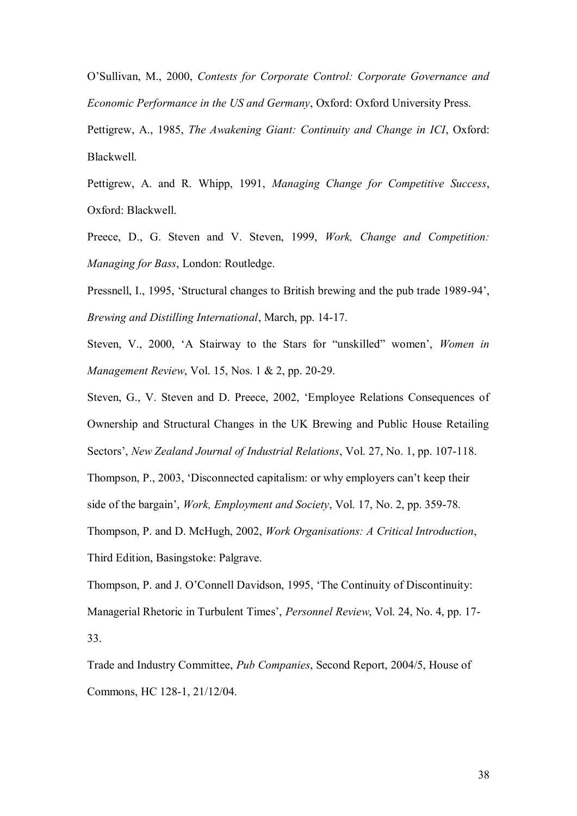O"Sullivan, M., 2000, *Contests for Corporate Control: Corporate Governance and Economic Performance in the US and Germany*, Oxford: Oxford University Press.

Pettigrew, A., 1985, *The Awakening Giant: Continuity and Change in ICI*, Oxford: Blackwell.

Pettigrew, A. and R. Whipp, 1991, *Managing Change for Competitive Success*, Oxford: Blackwell.

Preece, D., G. Steven and V. Steven, 1999, *Work, Change and Competition: Managing for Bass*, London: Routledge.

Pressnell, I., 1995, "Structural changes to British brewing and the pub trade 1989-94", *Brewing and Distilling International*, March, pp. 14-17.

Steven, V., 2000, "A Stairway to the Stars for "unskilled" women", *Women in Management Review*, Vol. 15, Nos. 1 & 2, pp. 20-29.

Steven, G., V. Steven and D. Preece, 2002, "Employee Relations Consequences of Ownership and Structural Changes in the UK Brewing and Public House Retailing Sectors", *New Zealand Journal of Industrial Relations*, Vol. 27, No. 1, pp. 107-118.

Thompson, P., 2003, "Disconnected capitalism: or why employers can"t keep their

side of the bargain", *Work, Employment and Society*, Vol. 17, No. 2, pp. 359-78.

Thompson, P. and D. McHugh, 2002, *Work Organisations: A Critical Introduction*,

Third Edition, Basingstoke: Palgrave.

Thompson, P. and J. O"Connell Davidson, 1995, "The Continuity of Discontinuity: Managerial Rhetoric in Turbulent Times", *Personnel Review*, Vol. 24, No. 4, pp. 17- 33.

Trade and Industry Committee, *Pub Companies*, Second Report, 2004/5, House of Commons, HC 128-1, 21/12/04.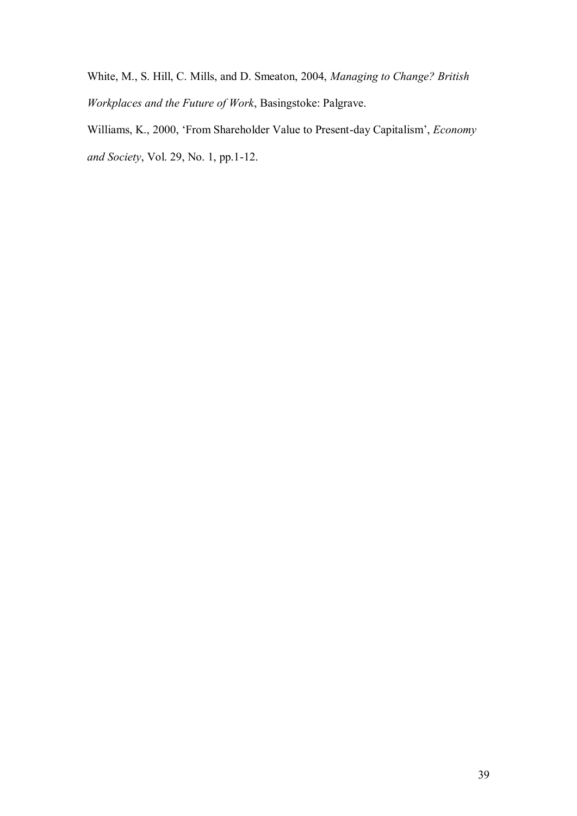White, M., S. Hill, C. Mills, and D. Smeaton, 2004, *Managing to Change? British Workplaces and the Future of Work*, Basingstoke: Palgrave.

Williams, K., 2000, "From Shareholder Value to Present-day Capitalism", *Economy and Society*, Vol. 29, No. 1, pp.1-12.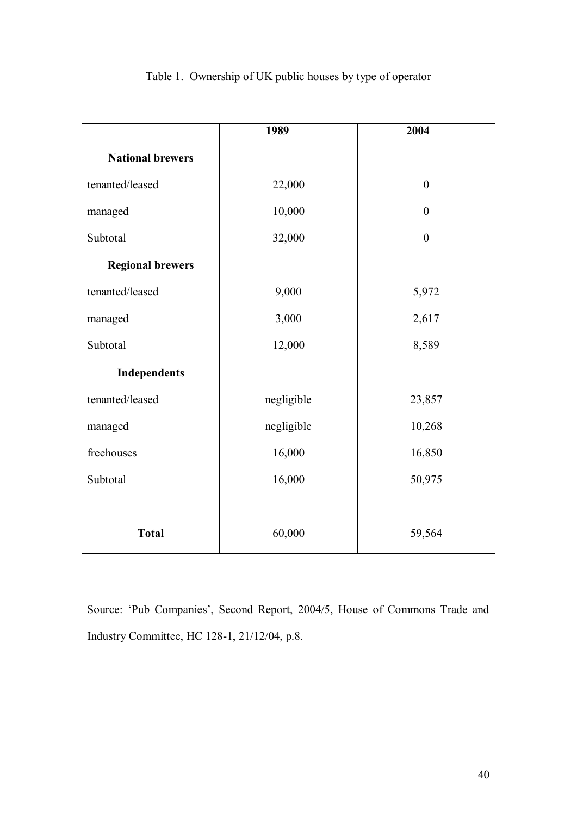|                         | 1989       | 2004             |
|-------------------------|------------|------------------|
| <b>National brewers</b> |            |                  |
| tenanted/leased         | 22,000     | $\mathbf{0}$     |
| managed                 | 10,000     | $\mathbf{0}$     |
| Subtotal                | 32,000     | $\boldsymbol{0}$ |
| <b>Regional brewers</b> |            |                  |
| tenanted/leased         | 9,000      | 5,972            |
| managed                 | 3,000      | 2,617            |
| Subtotal                | 12,000     | 8,589            |
| <b>Independents</b>     |            |                  |
| tenanted/leased         | negligible | 23,857           |
| managed                 | negligible | 10,268           |
| freehouses              | 16,000     | 16,850           |
| Subtotal                | 16,000     | 50,975           |
|                         |            |                  |
| <b>Total</b>            | 60,000     | 59,564           |

# Table 1. Ownership of UK public houses by type of operator

Source: 'Pub Companies', Second Report, 2004/5, House of Commons Trade and Industry Committee, HC 128-1, 21/12/04, p.8.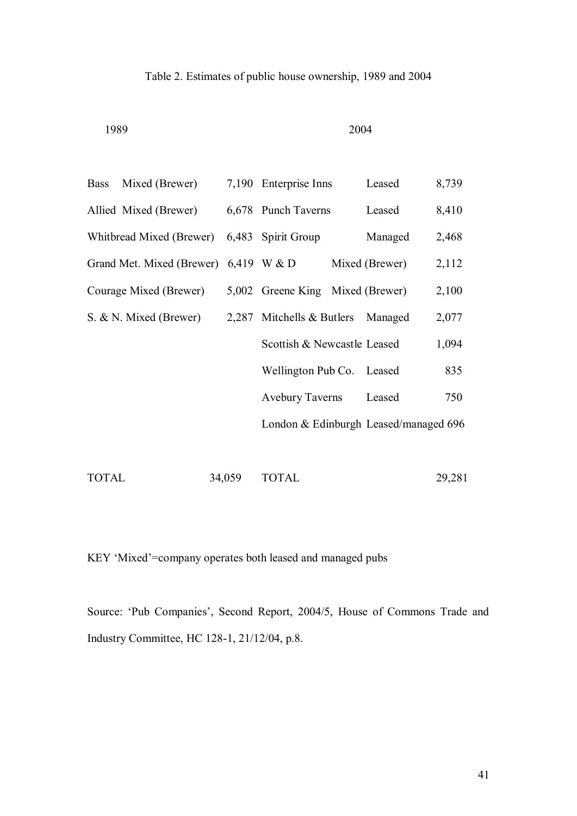Table 2. Estimates of public house ownership, 1989 and 2004

$$
1989 \t\t 2004
$$

| Bass Mixed (Brewer)                        | 7,190 Enterprise Inns             |  | Leased                                | 8,739 |
|--------------------------------------------|-----------------------------------|--|---------------------------------------|-------|
| Allied Mixed (Brewer)                      | 6,678 Punch Taverns               |  | Leased                                | 8,410 |
| Whitbread Mixed (Brewer)                   | 6,483 Spirit Group                |  | Managed                               | 2,468 |
| Grand Met. Mixed (Brewer) $6,419 \ W \& D$ |                                   |  | Mixed (Brewer)                        | 2,112 |
| Courage Mixed (Brewer)                     | 5,002 Greene King Mixed (Brewer)  |  |                                       | 2,100 |
| S. & N. Mixed (Brewer)                     | 2,287 Mitchells & Butlers Managed |  |                                       | 2,077 |
|                                            | Scottish & Newcastle Leased       |  |                                       | 1,094 |
|                                            | Wellington Pub Co. Leased         |  |                                       | 835   |
|                                            | <b>Avebury Taverns</b>            |  | Leased                                | 750   |
|                                            |                                   |  | London & Edinburgh Leased/managed 696 |       |
|                                            |                                   |  |                                       |       |

| <b>TOTAL</b><br>34,059 | TOTAL | 29,281 |
|------------------------|-------|--------|
|------------------------|-------|--------|

KEY "Mixed"=company operates both leased and managed pubs

Source: 'Pub Companies', Second Report, 2004/5, House of Commons Trade and Industry Committee, HC 128-1, 21/12/04, p.8.